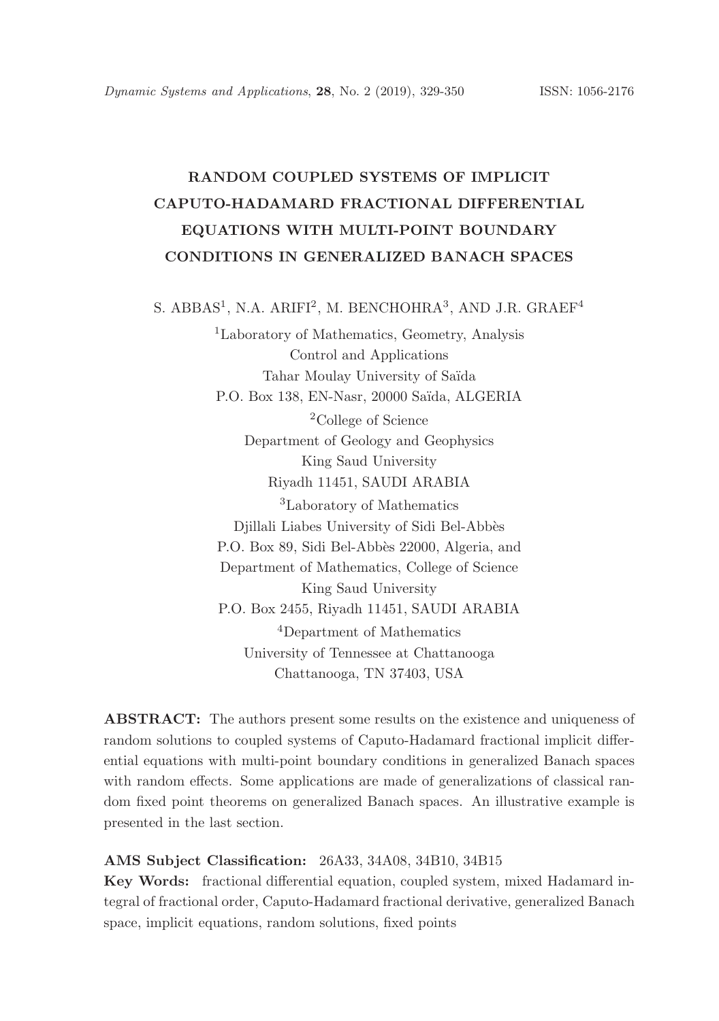# RANDOM COUPLED SYSTEMS OF IMPLICIT CAPUTO-HADAMARD FRACTIONAL DIFFERENTIAL EQUATIONS WITH MULTI-POINT BOUNDARY CONDITIONS IN GENERALIZED BANACH SPACES

S. ABBAS<sup>1</sup>, N.A. ARIFI<sup>2</sup>, M. BENCHOHRA<sup>3</sup>, AND J.R. GRAEF<sup>4</sup>

<sup>1</sup>Laboratory of Mathematics, Geometry, Analysis Control and Applications Tahar Moulay University of Saïda P.O. Box 138, EN-Nasr, 20000 Saïda, ALGERIA <sup>2</sup>College of Science Department of Geology and Geophysics King Saud University Riyadh 11451, SAUDI ARABIA <sup>3</sup>Laboratory of Mathematics Djillali Liabes University of Sidi Bel-Abb`es P.O. Box 89, Sidi Bel-Abbès 22000, Algeria, and Department of Mathematics, College of Science King Saud University P.O. Box 2455, Riyadh 11451, SAUDI ARABIA <sup>4</sup>Department of Mathematics University of Tennessee at Chattanooga Chattanooga, TN 37403, USA

ABSTRACT: The authors present some results on the existence and uniqueness of random solutions to coupled systems of Caputo-Hadamard fractional implicit differential equations with multi-point boundary conditions in generalized Banach spaces with random effects. Some applications are made of generalizations of classical random fixed point theorems on generalized Banach spaces. An illustrative example is presented in the last section.

## AMS Subject Classification: 26A33, 34A08, 34B10, 34B15

Key Words: fractional differential equation, coupled system, mixed Hadamard integral of fractional order, Caputo-Hadamard fractional derivative, generalized Banach space, implicit equations, random solutions, fixed points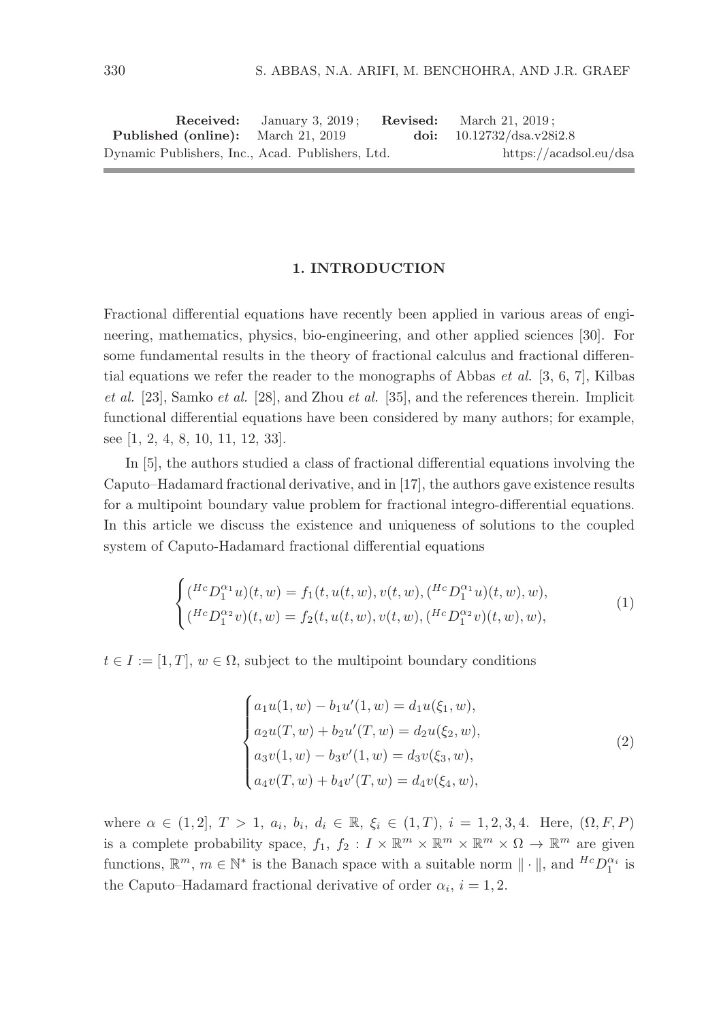|                                                  | <b>Received:</b> January 3, 2019; | <b>Revised:</b> March 21, 2019; |
|--------------------------------------------------|-----------------------------------|---------------------------------|
| <b>Published (online):</b> March 21, 2019        |                                   | doi: $10.12732/dsa.v28i2.8$     |
| Dynamic Publishers, Inc., Acad. Publishers, Ltd. |                                   | https://acadsol.eu/dsa          |

#### 1. INTRODUCTION

Fractional differential equations have recently been applied in various areas of engineering, mathematics, physics, bio-engineering, and other applied sciences [30]. For some fundamental results in the theory of fractional calculus and fractional differential equations we refer the reader to the monographs of Abbas *et al.* [3, 6, 7], Kilbas et al. [23], Samko et al. [28], and Zhou et al. [35], and the references therein. Implicit functional differential equations have been considered by many authors; for example, see [1, 2, 4, 8, 10, 11, 12, 33].

In [5], the authors studied a class of fractional differential equations involving the Caputo–Hadamard fractional derivative, and in [17], the authors gave existence results for a multipoint boundary value problem for fractional integro-differential equations. In this article we discuss the existence and uniqueness of solutions to the coupled system of Caputo-Hadamard fractional differential equations

$$
\begin{cases}\n(^{Hc}D_1^{\alpha_1}u)(t,w) = f_1(t, u(t,w), v(t,w), (^{Hc}D_1^{\alpha_1}u)(t,w), w), \\
(^{Hc}D_1^{\alpha_2}v)(t,w) = f_2(t, u(t,w), v(t,w), (^{Hc}D_1^{\alpha_2}v)(t,w), w),\n\end{cases} (1)
$$

 $t \in I := [1, T], w \in \Omega$ , subject to the multipoint boundary conditions

$$
\begin{cases}\na_1u(1,w) - b_1u'(1,w) = d_1u(\xi_1, w), \\
a_2u(T, w) + b_2u'(T, w) = d_2u(\xi_2, w), \\
a_3v(1, w) - b_3v'(1, w) = d_3v(\xi_3, w), \\
a_4v(T, w) + b_4v'(T, w) = d_4v(\xi_4, w),\n\end{cases}
$$
\n(2)

where  $\alpha \in (1,2], T > 1, a_i, b_i, d_i \in \mathbb{R}, \xi_i \in (1,T), i = 1,2,3,4.$  Here,  $(\Omega, F, P)$ is a complete probability space,  $f_1, f_2 : I \times \mathbb{R}^m \times \mathbb{R}^m \times \mathbb{R}^m \times \Omega \to \mathbb{R}^m$  are given functions,  $\mathbb{R}^m$ ,  $m \in \mathbb{N}^*$  is the Banach space with a suitable norm  $\|\cdot\|$ , and  ${}^{Hc}D_1^{\alpha_i}$  is the Caputo–Hadamard fractional derivative of order  $\alpha_i$ ,  $i = 1, 2$ .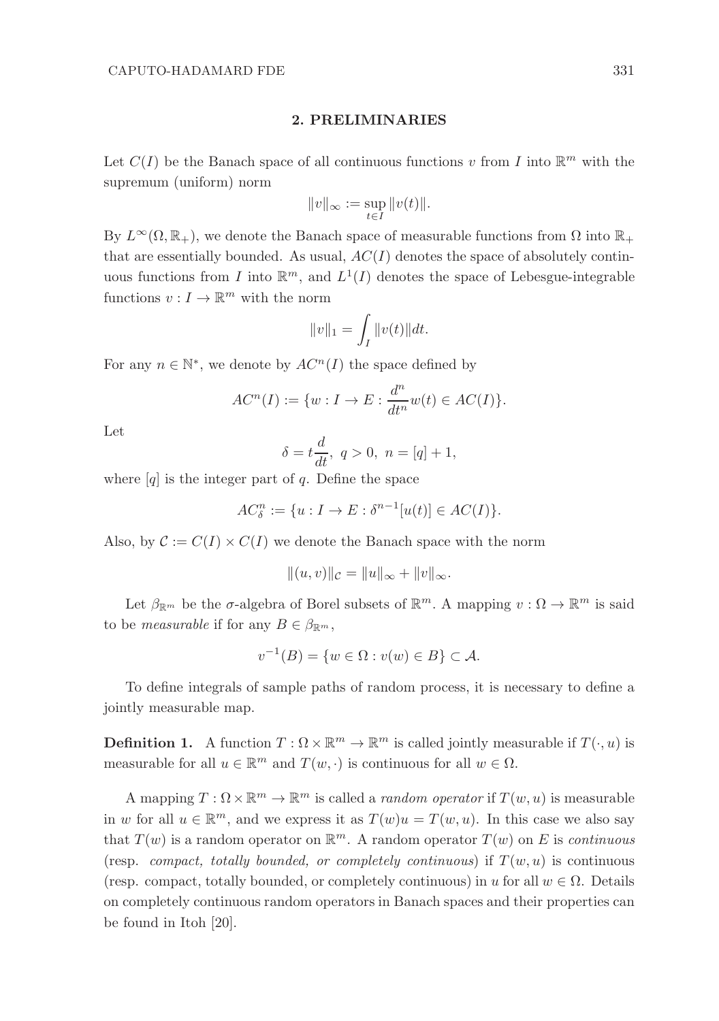#### 2. PRELIMINARIES

Let  $C(I)$  be the Banach space of all continuous functions v from I into  $\mathbb{R}^m$  with the supremum (uniform) norm

$$
||v||_{\infty} := \sup_{t \in I} ||v(t)||.
$$

By  $L^{\infty}(\Omega,\mathbb{R}_{+})$ , we denote the Banach space of measurable functions from  $\Omega$  into  $\mathbb{R}_{+}$ that are essentially bounded. As usual,  $AC(I)$  denotes the space of absolutely continuous functions from I into  $\mathbb{R}^m$ , and  $L^1(I)$  denotes the space of Lebesgue-integrable functions  $v: I \to \mathbb{R}^m$  with the norm

$$
||v||_1 = \int_I ||v(t)||dt.
$$

For any  $n \in \mathbb{N}^*$ , we denote by  $AC^n(I)$  the space defined by

$$
AC^{n}(I) := \{w : I \to E : \frac{d^{n}}{dt^{n}}w(t) \in AC(I)\}.
$$

Let

$$
\delta = t \frac{d}{dt}, \ q > 0, \ n = [q] + 1,
$$

where  $[q]$  is the integer part of q. Define the space

$$
AC_{\delta}^{n} := \{u : I \to E : \delta^{n-1}[u(t)] \in AC(I)\}.
$$

Also, by  $\mathcal{C} := C(I) \times C(I)$  we denote the Banach space with the norm

$$
|| (u, v) ||_{\mathcal{C}} = ||u||_{\infty} + ||v||_{\infty}.
$$

Let  $\beta_{\mathbb{R}^m}$  be the  $\sigma$ -algebra of Borel subsets of  $\mathbb{R}^m$ . A mapping  $v : \Omega \to \mathbb{R}^m$  is said to be *measurable* if for any  $B \in \beta_{\mathbb{R}^m}$ ,

$$
v^{-1}(B) = \{w \in \Omega : v(w) \in B\} \subset \mathcal{A}.
$$

To define integrals of sample paths of random process, it is necessary to define a jointly measurable map.

**Definition 1.** A function  $T : \Omega \times \mathbb{R}^m \to \mathbb{R}^m$  is called jointly measurable if  $T(\cdot, u)$  is measurable for all  $u \in \mathbb{R}^m$  and  $T(w, \cdot)$  is continuous for all  $w \in \Omega$ .

A mapping  $T: \Omega \times \mathbb{R}^m \to \mathbb{R}^m$  is called a *random operator* if  $T(w, u)$  is measurable in w for all  $u \in \mathbb{R}^m$ , and we express it as  $T(w)u = T(w, u)$ . In this case we also say that  $T(w)$  is a random operator on  $\mathbb{R}^m$ . A random operator  $T(w)$  on E is continuous (resp. compact, totally bounded, or completely continuous) if  $T(w, u)$  is continuous (resp. compact, totally bounded, or completely continuous) in u for all  $w \in \Omega$ . Details on completely continuous random operators in Banach spaces and their properties can be found in Itoh [20].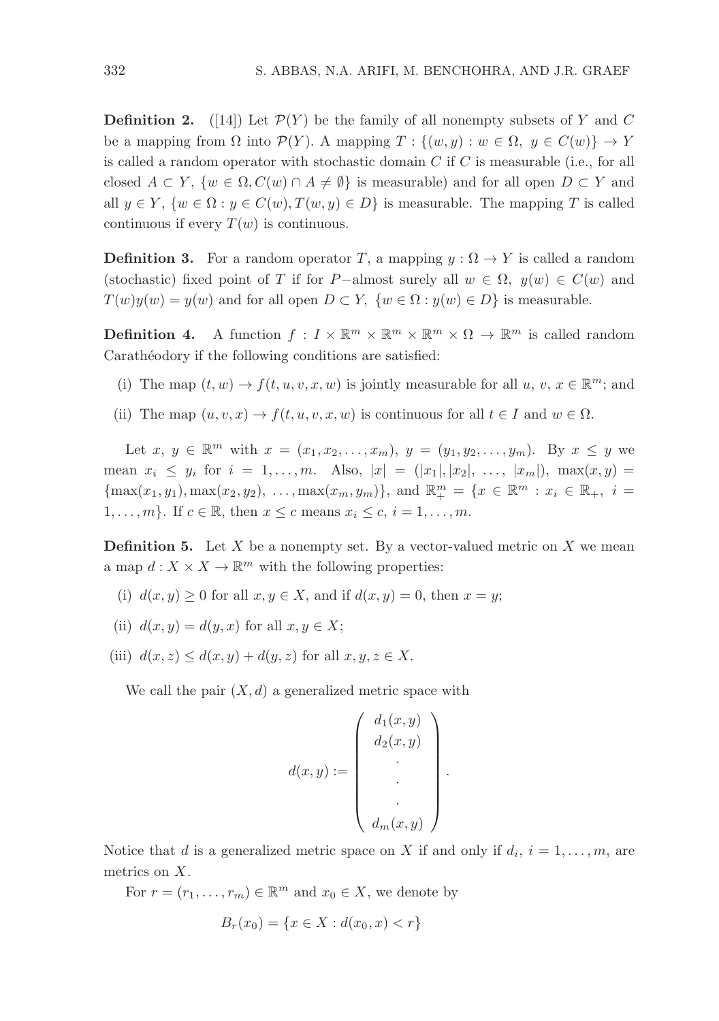**Definition 2.** ([14]) Let  $\mathcal{P}(Y)$  be the family of all nonempty subsets of Y and C be a mapping from  $\Omega$  into  $\mathcal{P}(Y)$ . A mapping  $T : \{(w, y) : w \in \Omega, y \in C(w)\} \to Y$ is called a random operator with stochastic domain  $C$  if  $C$  is measurable (i.e., for all closed  $A \subset Y$ ,  $\{w \in \Omega, C(w) \cap A \neq \emptyset\}$  is measurable) and for all open  $D \subset Y$  and all  $y \in Y$ ,  $\{w \in \Omega : y \in C(w), T(w, y) \in D\}$  is measurable. The mapping T is called continuous if every  $T(w)$  is continuous.

**Definition 3.** For a random operator T, a mapping  $y : \Omega \to Y$  is called a random (stochastic) fixed point of T if for P-almost surely all  $w \in \Omega$ ,  $y(w) \in C(w)$  and  $T(w)y(w) = y(w)$  and for all open  $D \subset Y$ ,  $\{w \in \Omega : y(w) \in D\}$  is measurable.

**Definition 4.** A function  $f: I \times \mathbb{R}^m \times \mathbb{R}^m \times \mathbb{R}^m \times \Omega \to \mathbb{R}^m$  is called random Carathéodory if the following conditions are satisfied:

- (i) The map  $(t, w) \to f(t, u, v, x, w)$  is jointly measurable for all  $u, v, x \in \mathbb{R}^m$ ; and
- (ii) The map  $(u, v, x) \to f(t, u, v, x, w)$  is continuous for all  $t \in I$  and  $w \in \Omega$ .

Let  $x, y \in \mathbb{R}^m$  with  $x = (x_1, x_2, ..., x_m), y = (y_1, y_2, ..., y_m)$ . By  $x \leq y$  we mean  $x_i \leq y_i$  for  $i = 1, ..., m$ . Also,  $|x| = (|x_1|, |x_2|, ..., |x_m|)$ ,  $\max(x, y) =$  ${\max(x_1, y_1), \max(x_2, y_2), \ldots, \max(x_m, y_m)}$ , and  $\mathbb{R}_+^m = \{x \in \mathbb{R}^m : x_i \in \mathbb{R}_+, i =$ 1, ..., m}. If  $c \in \mathbb{R}$ , then  $x \leq c$  means  $x_i \leq c$ ,  $i = 1, \ldots, m$ .

**Definition 5.** Let  $X$  be a nonempty set. By a vector-valued metric on  $X$  we mean a map  $d: X \times X \to \mathbb{R}^m$  with the following properties:

- (i)  $d(x, y) \geq 0$  for all  $x, y \in X$ , and if  $d(x, y) = 0$ , then  $x = y$ ;
- (ii)  $d(x, y) = d(y, x)$  for all  $x, y \in X$ ;
- (iii)  $d(x, z) \leq d(x, y) + d(y, z)$  for all  $x, y, z \in X$ .

We call the pair  $(X, d)$  a generalized metric space with

$$
d(x,y) := \begin{pmatrix} d_1(x,y) \\ d_2(x,y) \\ \vdots \\ d_m(x,y) \end{pmatrix}
$$

.

Notice that d is a generalized metric space on X if and only if  $d_i$ ,  $i = 1, \ldots, m$ , are metrics on X.

For  $r = (r_1, \ldots, r_m) \in \mathbb{R}^m$  and  $x_0 \in X$ , we denote by

$$
B_r(x_0) = \{x \in X : d(x_0, x) < r\}
$$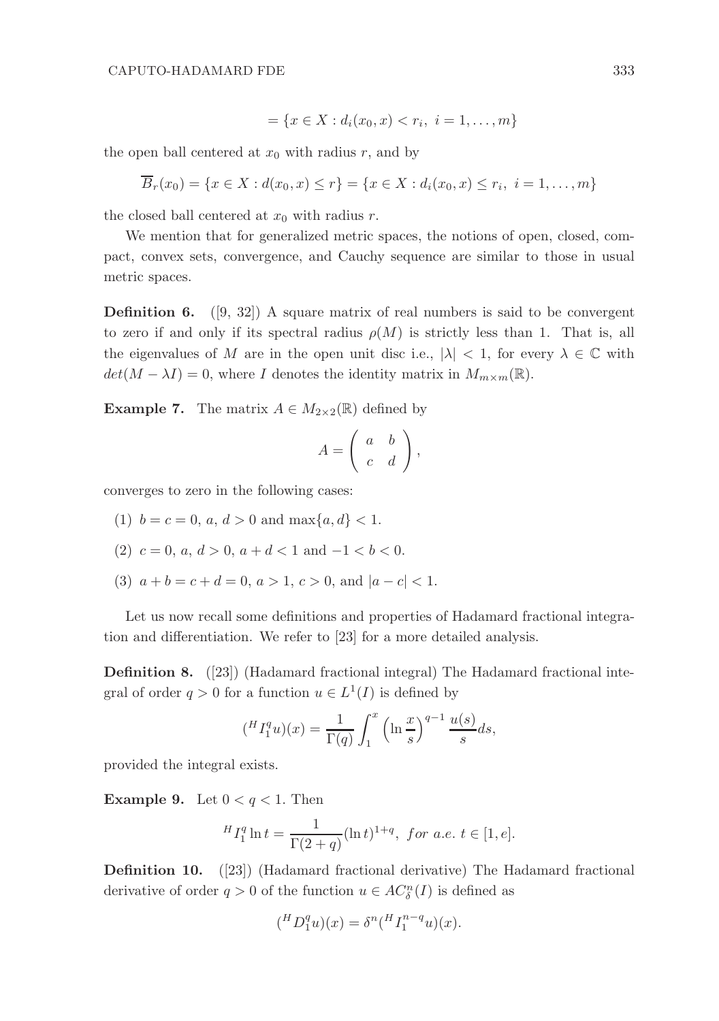$$
= \{x \in X : d_i(x_0, x) < r_i, \ i = 1, \dots, m\}
$$

the open ball centered at  $x_0$  with radius r, and by

$$
\overline{B}_r(x_0) = \{x \in X : d(x_0, x) \le r\} = \{x \in X : d_i(x_0, x) \le r_i, i = 1, ..., m\}
$$

the closed ball centered at  $x_0$  with radius r.

We mention that for generalized metric spaces, the notions of open, closed, compact, convex sets, convergence, and Cauchy sequence are similar to those in usual metric spaces.

**Definition 6.** ([9, 32]) A square matrix of real numbers is said to be convergent to zero if and only if its spectral radius  $\rho(M)$  is strictly less than 1. That is, all the eigenvalues of M are in the open unit disc i.e.,  $|\lambda| < 1$ , for every  $\lambda \in \mathbb{C}$  with  $det(M - \lambda I) = 0$ , where I denotes the identity matrix in  $M_{m \times m}(\mathbb{R})$ .

**Example 7.** The matrix  $A \in M_{2\times 2}(\mathbb{R})$  defined by

$$
A = \left( \begin{array}{cc} a & b \\ c & d \end{array} \right),
$$

converges to zero in the following cases:

- (1)  $b = c = 0, a, d > 0$  and  $\max\{a, d\} < 1$ .
- (2)  $c = 0, a, d > 0, a + d < 1$  and  $-1 < b < 0$ .
- (3)  $a + b = c + d = 0, a > 1, c > 0, \text{ and } |a c| < 1.$

Let us now recall some definitions and properties of Hadamard fractional integration and differentiation. We refer to [23] for a more detailed analysis.

Definition 8. ([23]) (Hadamard fractional integral) The Hadamard fractional integral of order  $q > 0$  for a function  $u \in L^1(I)$  is defined by

$$
\left(\begin{matrix}^H I_1^q u\end{matrix}\right)(x) = \frac{1}{\Gamma(q)} \int_1^x \left(\ln \frac{x}{s}\right)^{q-1} \frac{u(s)}{s} ds,
$$

provided the integral exists.

**Example 9.** Let  $0 < q < 1$ . Then

$$
{}^{H}I_{1}^{q}\ln t = \frac{1}{\Gamma(2+q)}(\ln t)^{1+q}, \text{ for a.e. } t \in [1, e].
$$

Definition 10. ([23]) (Hadamard fractional derivative) The Hadamard fractional derivative of order  $q > 0$  of the function  $u \in AC^n_{\delta}(I)$  is defined as

$$
({}^{H}D_1^qu)(x) = \delta^n({}^{H}I_1^{n-q}u)(x).
$$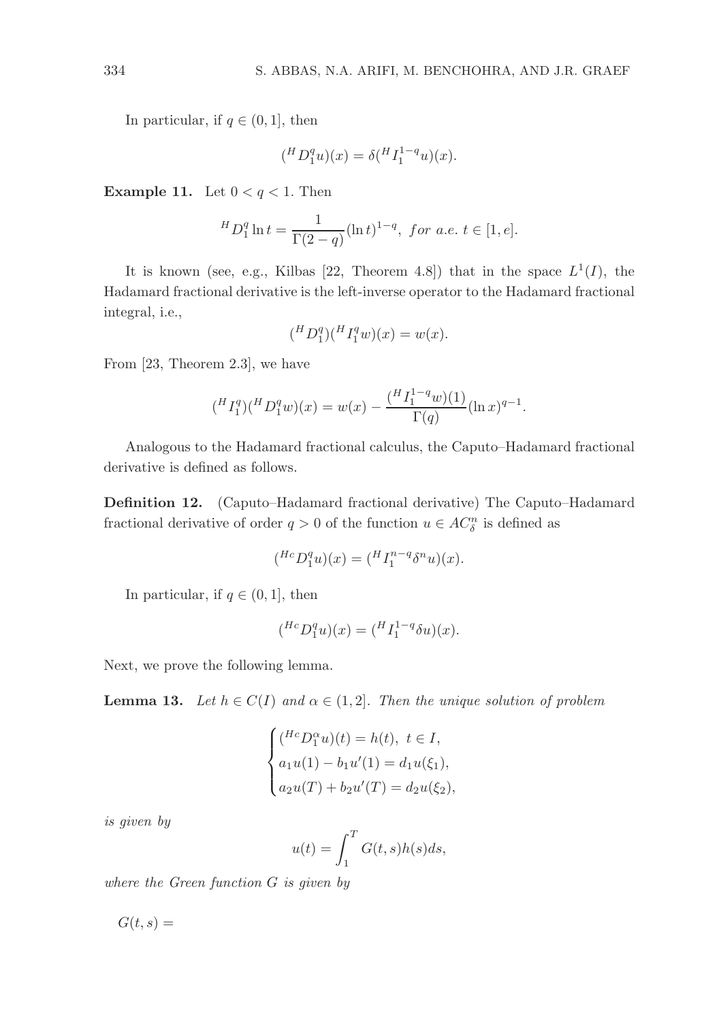In particular, if  $q \in (0, 1]$ , then

$$
({}^{H}D_1^qu)(x) = \delta({}^{H}I_1^{1-q}u)(x).
$$

**Example 11.** Let  $0 < q < 1$ . Then

$$
{}^{H}D_1^q \ln t = \frac{1}{\Gamma(2-q)} (\ln t)^{1-q}, \text{ for a.e. } t \in [1, e].
$$

It is known (see, e.g., Kilbas [22, Theorem 4.8]) that in the space  $L^1(I)$ , the Hadamard fractional derivative is the left-inverse operator to the Hadamard fractional integral, i.e.,

$$
({}^{H}D_1^q)({}^{H}I_1^qw)(x) = w(x).
$$

From [23, Theorem 2.3], we have

$$
({}^{H}I_{1}^{q})({}^{H}D_{1}^{q}w)(x) = w(x) - \frac{({}^{H}I_{1}^{1-q}w)(1)}{\Gamma(q)}(\ln x)^{q-1}.
$$

Analogous to the Hadamard fractional calculus, the Caputo–Hadamard fractional derivative is defined as follows.

Definition 12. (Caputo–Hadamard fractional derivative) The Caputo–Hadamard fractional derivative of order  $q > 0$  of the function  $u \in AC_{\delta}^{n}$  is defined as

$$
({}^{Hc}D_1^qu)(x)=({}^H I_1^{n-q} \delta^n u)(x).
$$

In particular, if  $q \in (0,1]$ , then

$$
({^{Hc}D_1^q u})(x) = ({}^H I_1^{1-q} \delta u)(x).
$$

Next, we prove the following lemma.

**Lemma 13.** Let  $h \in C(I)$  and  $\alpha \in (1, 2]$ . Then the unique solution of problem

$$
\begin{cases}\n(^{Hc}D_1^{\alpha}u)(t) = h(t), \ t \in I, \\
a_1u(1) - b_1u'(1) = d_1u(\xi_1), \\
a_2u(T) + b_2u'(T) = d_2u(\xi_2),\n\end{cases}
$$

is given by

$$
u(t) = \int_1^T G(t,s)h(s)ds,
$$

where the Green function G is given by

 $G(t, s) =$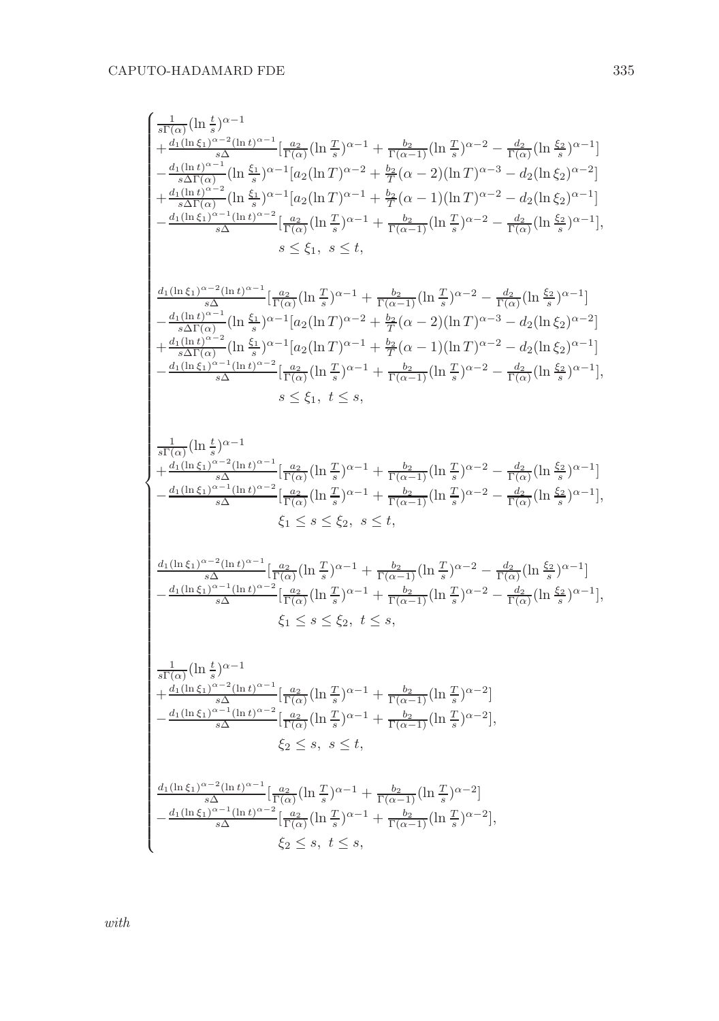$$
\begin{cases} \frac{1}{s\Gamma(\alpha)}(\ln\frac{t}{s})^{\alpha-1} \\ +\frac{d_1(\ln\xi_1)^{\alpha-2}(\ln t)^{\alpha-1}}{s\Delta\Gamma(\alpha)}[\frac{a_2}{\Gamma(\alpha)}(\ln\frac{T}{s})^{\alpha-1} + \frac{b_2}{\Gamma(\alpha-1)}(\ln\frac{T}{s})^{\alpha-2} - \frac{d_2}{\Gamma(\alpha)}(\ln\frac{\xi_2}{s})^{\alpha-1}] \\ -\frac{d_1(\ln t)^{\alpha-2}}{s\Delta\Gamma(\alpha)}(\ln\frac{\xi_1}{s})^{\alpha-1}[a_2(\ln T)^{\alpha-2} + \frac{b_2}{T}(\alpha-2)(\ln T)^{\alpha-3} - d_2(\ln\xi_2)^{\alpha-2}] \\ +\frac{d_1(\ln t)^{\alpha-2}}{s\Delta\Gamma(\alpha)}(\ln\frac{\xi_1}{s})^{\alpha-1}[a_2(\ln T)^{\alpha-1} + \frac{b_2}{T}(\alpha-1)(\ln T)^{\alpha-2} - d_2(\ln\xi_2)^{\alpha-1}] \\ -\frac{d_1(\ln\xi_1)^{\alpha-1}(\ln t)^{\alpha-2}}{s\Delta}[\frac{a_2}{\Gamma(\alpha)}(\ln\frac{T}{s})^{\alpha-1} + \frac{b_2}{\Gamma(\alpha-1)}(\ln\frac{T}{s})^{\alpha-2} - \frac{d_2}{\Gamma(\alpha)}(\ln\frac{\xi_2}{s})^{\alpha-1}], \\ s\leq \xi_1, \; s\leq t, \\ \frac{d_1(\ln\xi_1)^{\alpha-2}(\ln t)^{\alpha-1}}{s\Delta\Gamma(\alpha)}[\frac{a_2}{\Gamma(\alpha)}(\ln\frac{T}{s})^{\alpha-1} + \frac{b_2}{\Gamma(\alpha-1)}(\ln\frac{T}{s})^{\alpha-2} - \frac{d_2}{\Gamma(\alpha)}(\ln\frac{\xi_2}{s})^{\alpha-1}] \\ +\frac{d_1(\ln\xi_1)^{\alpha-2}(\ln\xi_1)^{\alpha-2}}{s\Delta\Gamma(\alpha)}[\frac{b_2}{\Gamma(\alpha)}(\ln\frac{T}{s})^{\alpha-1} + \frac{b_2}{T}(\alpha-2)(\ln T)^{\alpha-3} - d_2(\ln\xi_2)^{\alpha-2}] \\ +\frac{d_1(\ln\xi_1)^{\alpha-2}(\ln\xi_2)^{\alpha-1}}{s\Delta\Gamma(\alpha)}[\frac{a_2}{\Gamma
$$

with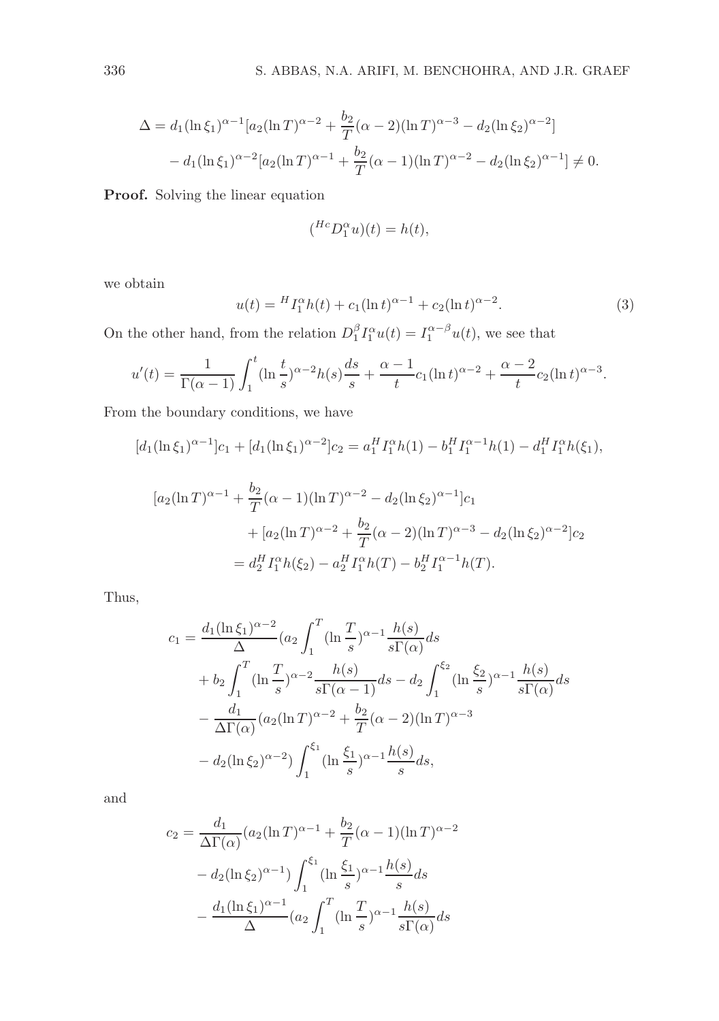$$
\Delta = d_1(\ln \xi_1)^{\alpha - 1} [a_2(\ln T)^{\alpha - 2} + \frac{b_2}{T} (\alpha - 2)(\ln T)^{\alpha - 3} - d_2(\ln \xi_2)^{\alpha - 2}]
$$
  
- 
$$
d_1(\ln \xi_1)^{\alpha - 2} [a_2(\ln T)^{\alpha - 1} + \frac{b_2}{T} (\alpha - 1)(\ln T)^{\alpha - 2} - d_2(\ln \xi_2)^{\alpha - 1}] \neq 0.
$$

Proof. Solving the linear equation

$$
(^{Hc}D_1^{\alpha}u)(t) = h(t),
$$

we obtain

$$
u(t) = {}^{H}I_{1}^{\alpha}h(t) + c_{1}(\ln t)^{\alpha - 1} + c_{2}(\ln t)^{\alpha - 2}.
$$
 (3)

On the other hand, from the relation  $D_1^{\beta} I_1^{\alpha} u(t) = I_1^{\alpha-\beta} u(t)$ , we see that

$$
u'(t) = \frac{1}{\Gamma(\alpha - 1)} \int_1^t (\ln \frac{t}{s})^{\alpha - 2} h(s) \frac{ds}{s} + \frac{\alpha - 1}{t} c_1 (\ln t)^{\alpha - 2} + \frac{\alpha - 2}{t} c_2 (\ln t)^{\alpha - 3}.
$$

From the boundary conditions, we have

$$
[d_1(\ln \xi_1)^{\alpha-1}]c_1 + [d_1(\ln \xi_1)^{\alpha-2}]c_2 = a_1^H I_1^{\alpha} h(1) - b_1^H I_1^{\alpha-1} h(1) - d_1^H I_1^{\alpha} h(\xi_1),
$$
  

$$
[a_2(\ln T)^{\alpha-1} + \frac{b_2}{T} (\alpha - 1)(\ln T)^{\alpha-2} - d_2(\ln \xi_2)^{\alpha-1}]c_1
$$
  

$$
+ [a_2(\ln T)^{\alpha-2} + \frac{b_2}{T} (\alpha - 2)(\ln T)^{\alpha-3} - d_2(\ln \xi_2)^{\alpha-2}]c_2
$$
  

$$
= d_2^H I_1^{\alpha} h(\xi_2) - a_2^H I_1^{\alpha} h(T) - b_2^H I_1^{\alpha-1} h(T).
$$

Thus,

$$
c_1 = \frac{d_1(\ln \xi_1)^{\alpha - 2}}{\Delta} (a_2 \int_1^T (\ln \frac{T}{s})^{\alpha - 1} \frac{h(s)}{s \Gamma(\alpha)} ds + b_2 \int_1^T (\ln \frac{T}{s})^{\alpha - 2} \frac{h(s)}{s \Gamma(\alpha - 1)} ds - d_2 \int_1^{\xi_2} (\ln \frac{\xi_2}{s})^{\alpha - 1} \frac{h(s)}{s \Gamma(\alpha)} ds - \frac{d_1}{\Delta \Gamma(\alpha)} (a_2 (\ln T)^{\alpha - 2} + \frac{b_2}{T} (\alpha - 2) (\ln T)^{\alpha - 3} - d_2 (\ln \xi_2)^{\alpha - 2} \int_1^{\xi_1} (\ln \frac{\xi_1}{s})^{\alpha - 1} \frac{h(s)}{s} ds,
$$

and

$$
c_2 = \frac{d_1}{\Delta \Gamma(\alpha)} (a_2 (\ln T)^{\alpha - 1} + \frac{b_2}{T} (\alpha - 1)(\ln T)^{\alpha - 2} - d_2 (\ln \xi_2)^{\alpha - 1}) \int_1^{\xi_1} (\ln \frac{\xi_1}{s})^{\alpha - 1} \frac{h(s)}{s} ds - \frac{d_1 (\ln \xi_1)^{\alpha - 1}}{\Delta} (a_2 \int_1^T (\ln \frac{T}{s})^{\alpha - 1} \frac{h(s)}{s \Gamma(\alpha)} ds
$$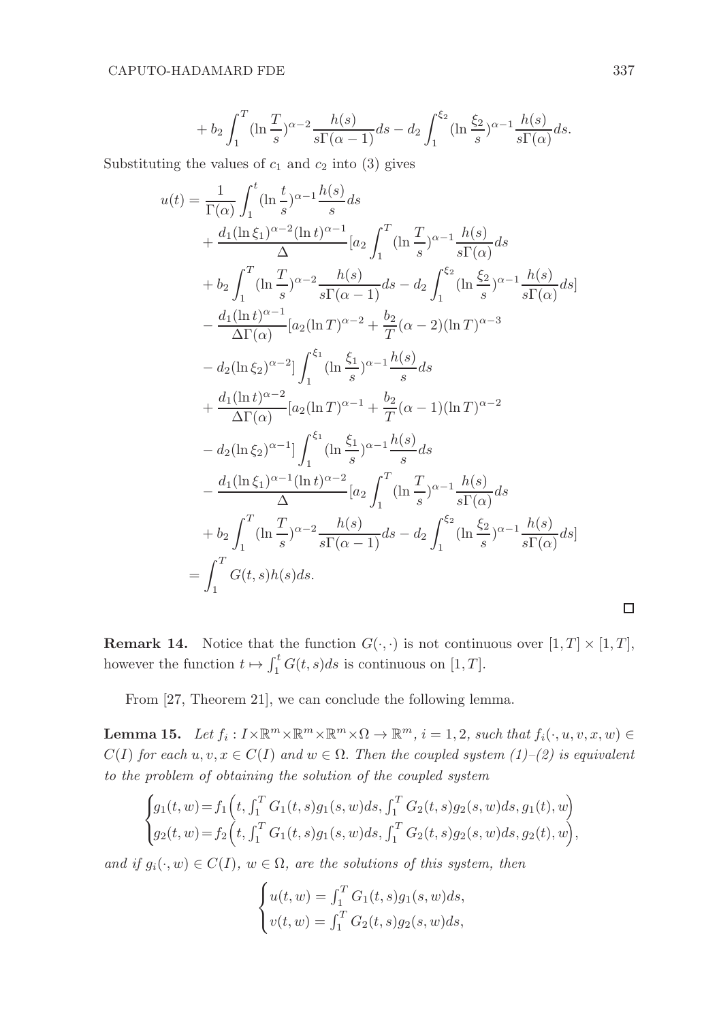$$
+ b_2 \int_1^T (\ln \frac{T}{s})^{\alpha-2} \frac{h(s)}{s\Gamma(\alpha-1)} ds - d_2 \int_1^{\xi_2} (\ln \frac{\xi_2}{s})^{\alpha-1} \frac{h(s)}{s\Gamma(\alpha)} ds.
$$

Substituting the values of  $c_1$  and  $c_2$  into (3) gives

$$
u(t) = \frac{1}{\Gamma(\alpha)} \int_{1}^{t} (\ln \frac{t}{s})^{\alpha - 1} \frac{h(s)}{s} ds
$$
  
+  $\frac{d_{1}(\ln \xi_{1})^{\alpha - 2}(\ln t)^{\alpha - 1}}{\Delta} [a_{2} \int_{1}^{T} (\ln \frac{T}{s})^{\alpha - 1} \frac{h(s)}{s \Gamma(\alpha)} ds$   
+  $b_{2} \int_{1}^{T} (\ln \frac{T}{s})^{\alpha - 2} \frac{h(s)}{s \Gamma(\alpha - 1)} ds - d_{2} \int_{1}^{\xi_{2}} (\ln \frac{\xi_{2}}{s})^{\alpha - 1} \frac{h(s)}{s \Gamma(\alpha)} ds]$   
-  $\frac{d_{1}(\ln t)^{\alpha - 1}}{\Delta \Gamma(\alpha)} [a_{2}(\ln T)^{\alpha - 2} + \frac{b_{2}}{T} (\alpha - 2)(\ln T)^{\alpha - 3}$   
-  $d_{2}(\ln \xi_{2})^{\alpha - 2}] \int_{1}^{\xi_{1}} (\ln \frac{\xi_{1}}{s})^{\alpha - 1} \frac{h(s)}{s} ds$   
+  $\frac{d_{1}(\ln t)^{\alpha - 2}}{\Delta \Gamma(\alpha)} [a_{2}(\ln T)^{\alpha - 1} + \frac{b_{2}}{T} (\alpha - 1)(\ln T)^{\alpha - 2}$   
-  $d_{2}(\ln \xi_{2})^{\alpha - 1}] \int_{1}^{\xi_{1}} (\ln \frac{\xi_{1}}{s})^{\alpha - 1} \frac{h(s)}{s} ds$   
-  $\frac{d_{1}(\ln \xi_{1})^{\alpha - 1}(\ln t)^{\alpha - 2}}{\Delta} [a_{2} \int_{1}^{T} (\ln \frac{T}{s})^{\alpha - 1} \frac{h(s)}{s \Gamma(\alpha)} ds$   
+  $b_{2} \int_{1}^{T} (\ln \frac{T}{s})^{\alpha - 2} \frac{h(s)}{s \Gamma(\alpha - 1)} ds - d_{2} \int_{1}^{\xi_{2}} (\ln \frac{\xi_{2}}{s})^{\alpha - 1} \frac{h(s)}{s \Gamma(\alpha)} ds$   
=  $\int_{1}^{T} G(t, s)h(s) ds$ .

**Remark 14.** Notice that the function  $G(\cdot, \cdot)$  is not continuous over  $[1, T] \times [1, T]$ , however the function  $t \mapsto \int_1^t G(t, s)ds$  is continuous on  $[1, T]$ .

From [27, Theorem 21], we can conclude the following lemma.

**Lemma 15.** Let  $f_i: I \times \mathbb{R}^m \times \mathbb{R}^m \times \mathbb{R}^m \times \Omega \to \mathbb{R}^m$ ,  $i = 1, 2$ , such that  $f_i(\cdot, u, v, x, w) \in$  $C(I)$  for each  $u, v, x \in C(I)$  and  $w \in \Omega$ . Then the coupled system  $(1)-(2)$  is equivalent to the problem of obtaining the solution of the coupled system

$$
\begin{cases} g_1(t,w) = f_1\left(t, \int_1^T G_1(t,s)g_1(s,w)ds, \int_1^T G_2(t,s)g_2(s,w)ds, g_1(t),w\right) \\ g_2(t,w) = f_2\left(t, \int_1^T G_1(t,s)g_1(s,w)ds, \int_1^T G_2(t,s)g_2(s,w)ds, g_2(t),w\right), \end{cases}
$$

and if  $g_i(\cdot, w) \in C(I)$ ,  $w \in \Omega$ , are the solutions of this system, then

$$
\begin{cases} u(t, w) = \int_1^T G_1(t, s) g_1(s, w) ds, \\ v(t, w) = \int_1^T G_2(t, s) g_2(s, w) ds, \end{cases}
$$

 $\Box$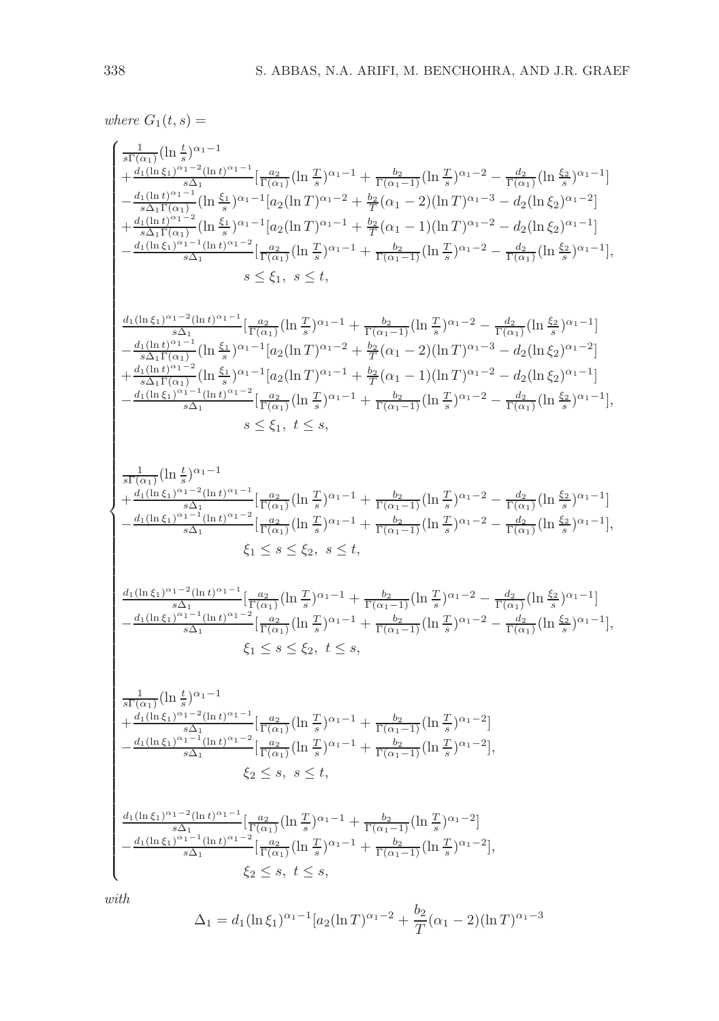where  $G_1(t,s) =$  $\sqrt{ }$   $\frac{1}{s\Gamma(\alpha_1)}(\ln\frac{t}{s})^{\alpha_1-1}$  $+\frac{d_1(\ln \xi_1)^{\alpha_1-2}(\ln t)^{\alpha_1-1}}{s\Delta_1}$  $\frac{1}{s\Delta_1}\left[\frac{a_2}{\Gamma(\alpha_1)}(\ln\frac{T}{s})^{\alpha_1-1}+\frac{b_2}{\Gamma(\alpha_1-1)}(\ln\frac{T}{s})^{\alpha_1-2}-\frac{d_2}{\Gamma(\alpha_1)}(\ln\frac{\xi_2}{s})^{\alpha_1-1}\right]$  $-\frac{d_1(\ln t)^{\alpha_1-1}}{s\Delta_1\Gamma(\alpha_1)}$  $\frac{1}{s\Delta_1\Gamma(\alpha_1)}(\ln\frac{\xi_1}{s})^{\alpha_1-1}[a_2(\ln T)^{\alpha_1-2}+\frac{b_2}{T}(\alpha_1-2)(\ln T)^{\alpha_1-3}-d_2(\ln\xi_2)^{\alpha_1-2}]$  $+\frac{d_1(\ln t)^{\alpha_1-2}}{s\Delta_1\Gamma(\alpha_1)}$  $\frac{1}{s\Delta_1\Gamma(\alpha_1)}(\ln\frac{\xi_1}{s})^{\alpha_1-1}[a_2(\ln T)^{\alpha_1-1}+\frac{b_2}{T}(\alpha_1-1)(\ln T)^{\alpha_1-2}-d_2(\ln\xi_2)^{\alpha_1-1}]$  $-\frac{d_1(\ln\xi_1)^{\alpha_1-1}(\ln t)^{\alpha_1-2}}{s\Delta_1}$  $\frac{1}{s\Delta_1} \frac{\ln(1+\ln t)^{\alpha_1-2}}{\ln(\alpha_1)} \left[\frac{a_2}{\Gamma(\alpha_1)} \left(\ln \frac{T}{s}\right)^{\alpha_1-1} + \frac{b_2}{\Gamma(\alpha_1-1)} \left(\ln \frac{T}{s}\right)^{\alpha_1-2} - \frac{d_2}{\Gamma(\alpha_1)} \left(\ln \frac{\xi_2}{s}\right)^{\alpha_1-1}\right],$  $s \leq \xi_1, s \leq t$  $d_1(\ln \xi_1)^{\alpha_1-2}(\ln t)^{\alpha_1-1}$  $\frac{1}{s\Delta_1} \frac{a_2}{\Gamma(\alpha_1)} \left[ \frac{a_2}{\Gamma(\alpha_1)} \left( \ln \frac{T}{s} \right) \alpha_1 - 1 + \frac{b_2}{\Gamma(\alpha_1 - 1)} \left( \ln \frac{T}{s} \right) \alpha_1 - 2 - \frac{d_2}{\Gamma(\alpha_1)} \left( \ln \frac{\xi_2}{s} \right) \alpha_1 - 1 \right]$  $-\frac{d_1(\ln t)^{\alpha_1-1}}{s\Delta_1\Gamma(\alpha_1)}$  $\frac{1}{s\Delta_1\Gamma(\alpha_1)}(\ln\frac{\xi_1}{s})^{\alpha_1-1}[a_2(\ln T)^{\alpha_1-2}+\frac{b_2}{T}(\alpha_1-2)(\ln T)^{\alpha_1-3}-d_2(\ln\xi_2)^{\alpha_1-2}]$ +  $d_1(\ln t)^{\alpha_1-2}$  $\frac{1}{s\Delta_1\Gamma(\alpha_1)}(\ln\frac{\xi_1}{s})^{\alpha_1-1}[a_2(\ln T)^{\alpha_1-1}+\frac{b_2}{T}(\alpha_1-1)(\ln T)^{\alpha_1-2}-d_2(\ln\xi_2)^{\alpha_1-1}]$ −  $d_1(\ln \xi_1)^{\alpha_1-1}(\ln t)^{\alpha_1-2}$  $\frac{1}{s\Delta_1} \frac{\ln(1+\ln t)^{\alpha_1-2}}{\ln(\alpha_1)} \left[\frac{a_2}{\Gamma(\alpha_1)} \left(\ln \frac{T}{s}\right)^{\alpha_1-1} + \frac{b_2}{\Gamma(\alpha_1-1)} \left(\ln \frac{T}{s}\right)^{\alpha_1-2} - \frac{d_2}{\Gamma(\alpha_1)} \left(\ln \frac{\xi_2}{s}\right)^{\alpha_1-1}\right],$  $s \leq \xi_1, t \leq s$ ,  $\frac{1}{s\Gamma(\alpha_1)}(\ln\frac{t}{s})^{\alpha_1-1}$  $+$  $d_1(\ln \xi_1)^{\alpha_1-2}(\ln t)^{\alpha_1-1}$  $\frac{1}{s\Delta_1}\left[\frac{a_2}{\Gamma(\alpha_1)}(\ln\frac{T}{s})^{\alpha_1-1}+\frac{b_2}{\Gamma(\alpha_1-1)}(\ln\frac{T}{s})^{\alpha_1-2}-\frac{d_2}{\Gamma(\alpha_1)}(\ln\frac{\xi_2}{s})^{\alpha_1-1}\right]$ −  $d_1(\ln \xi_1)^{\alpha_1-1}(\ln t)^{\alpha_1-2}$  $\frac{1}{s\Delta_1} \frac{\ln(1+\theta)^{\alpha_1-2}}{\ln(\alpha_1)} \left[\frac{a_2}{\Gamma(\alpha_1)}\left(\ln\frac{T}{s}\right)^{\alpha_1-1} + \frac{b_2}{\Gamma(\alpha_1-1)}\left(\ln\frac{T}{s}\right)^{\alpha_1-2} - \frac{d_2}{\Gamma(\alpha_1)}\left(\ln\frac{\xi_2}{s}\right)^{\alpha_1-1}\right],$  $\xi_1 \leq s \leq \xi_2, \ s \leq t$ ,  $d_1(\ln \xi_1)^{\alpha_1-2}(\ln t)^{\alpha_1-1}$  $\frac{1}{s\Delta_1}\left[\frac{a_2}{\Gamma(\alpha_1)}(\ln\frac{T}{s})^{\alpha_1-1}+\frac{b_2}{\Gamma(\alpha_1-1)}(\ln\frac{T}{s})^{\alpha_1-2}-\frac{d_2}{\Gamma(\alpha_1)}(\ln\frac{\xi_2}{s})^{\alpha_1-1}\right]$  $-\frac{d_1(\ln\xi_1)^{\alpha_1-1}(\ln t)^{\alpha_1-2}}{s\Delta_1}$  $\frac{1}{s\Delta_1} \frac{\ln(1+\ln t)^{\alpha_1-2}}{\ln(\alpha_1)} \left[\frac{a_2}{\Gamma(\alpha_1)} \left(\ln \frac{T}{s}\right)^{\alpha_1-1} + \frac{b_2}{\Gamma(\alpha_1-1)} \left(\ln \frac{T}{s}\right)^{\alpha_1-2} - \frac{d_2}{\Gamma(\alpha_1)} \left(\ln \frac{\xi_2}{s}\right)^{\alpha_1-1}\right],$  $\xi_1 \leq s \leq \xi_2, t \leq s$ ,  $\frac{1}{s\Gamma(\alpha_1)}(\ln\frac{t}{s})^{\alpha_1-1}$  $+\frac{d_1(\ln \xi_1)^{\alpha_1-2}(\ln t)^{\alpha_1-1}}{s\Delta_1}$  $\frac{1}{s\Delta_1}\left[\frac{a_2}{\Gamma(\alpha_1)}(\ln\frac{T}{s})^{\alpha_1-1}+\frac{b_2}{\Gamma(\alpha_1-1)}(\ln\frac{T}{s})^{\alpha_1-2}\right]$  $-\frac{d_1(\ln\xi_1)^{\alpha_1-1}(\ln t)^{\alpha_1-2}}{s\Delta_1}$  $\frac{\frac{1}{s}\sum_{1}^{1-\frac{1}{n}}\left(\ln t\right)^{\alpha_1-2}}{\Gamma(\alpha_1)}\left(\ln\frac{T}{s}\right)^{\alpha_1-1}+\frac{b_2}{\Gamma(\alpha_1-1)}\left(\ln\frac{T}{s}\right)^{\alpha_1-2}\right],$  $\xi_2 \leq s, \ s \leq t$  $d_1(\ln \xi_1)^{\alpha_1-2}(\ln t)^{\alpha_1-1}$  $\frac{1}{s\Delta_1} \left[ \frac{a_2}{\Gamma(\alpha_1)} (\ln \frac{T}{s})^{\alpha_1-1} + \frac{b_2}{\Gamma(\alpha_1-1)} (\ln \frac{T}{s})^{\alpha_1-2} \right]$  $-\frac{d_1(\ln\xi_1)^{\alpha_1-1}(\ln t)^{\alpha_1-2}}{s\Delta_1}$  $\frac{\frac{1}{s}\sum_{1}^{n-1}(\ln t)^{\alpha_1-2}}{\Gamma(\alpha_1)}\left[\frac{a_2}{\Gamma(\alpha_1)}(\ln \frac{T}{s})^{\alpha_1-1}+\frac{b_2}{\Gamma(\alpha_1-1)}(\ln \frac{T}{s})^{\alpha_1-2}\right],$  $\xi_2 \leq s, t \leq s,$ 

with

$$
\Delta_1 = d_1(\ln \xi_1)^{\alpha_1 - 1} [a_2(\ln T)^{\alpha_1 - 2} + \frac{b_2}{T} (\alpha_1 - 2)(\ln T)^{\alpha_1 - 3}]
$$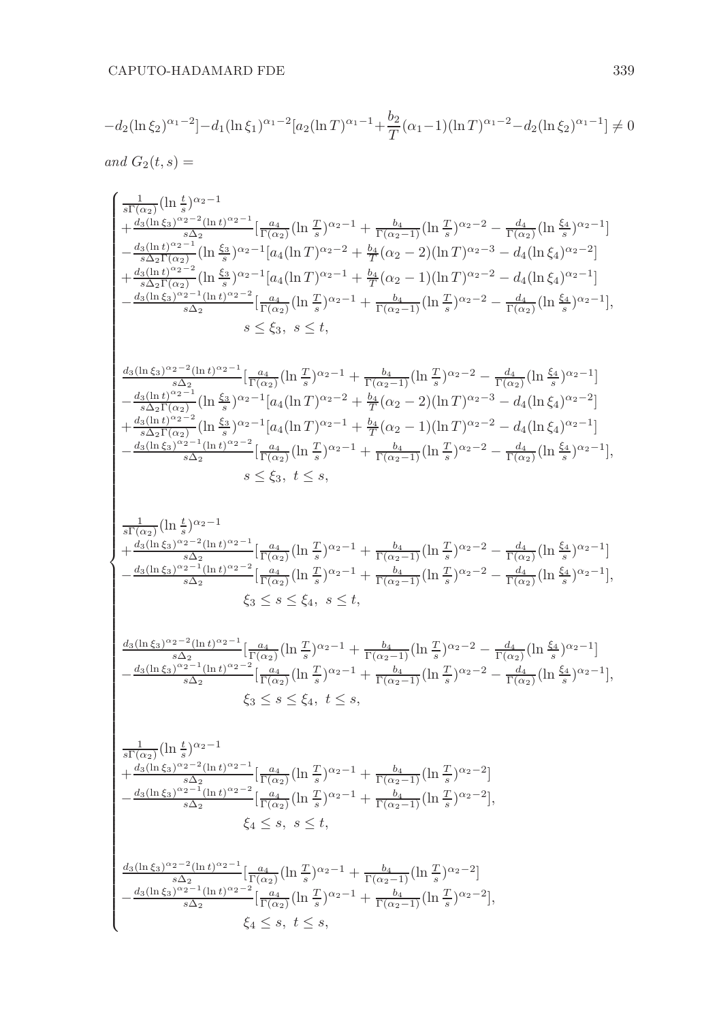$$
-d_2(\ln \xi_2)^{\alpha_1-2} - d_1(\ln \xi_1)^{\alpha_1-2} [a_2(\ln T)^{\alpha_1-1} + \frac{b_2}{T} (\alpha_1 - 1)(\ln T)^{\alpha_1-2} - d_2(\ln \xi_2)^{\alpha_1-1}] \neq 0
$$
  
and  $G_2(t, s) =$ 

$$
\begin{cases} \frac{1}{31\left(\alpha_{2}\right)}(\ln\frac{t}{s})^{\alpha_{2}-1} \\ +\frac{d_{3}(\ln\xi_{3})^{\alpha_{2}-2}(\ln b)^{\alpha_{2}-1}}{s\left(\alpha_{2}\right)}\left[\Gamma_{\left(\alpha_{2}\right)}^{\alpha_{2}}(\ln\frac{T}{s})^{\alpha_{2}-1}+\frac{b_{4}}{\Gamma\left(\alpha_{2}-1\right)}(\ln\frac{T}{s})^{\alpha_{2}-2}-\frac{d_{4}}{\Gamma\left(\alpha_{2}\right)}(\ln\frac{\xi_{4}}{s})^{\alpha_{2}-1}\right]\\ -\frac{d_{3}(\ln b)^{\alpha_{2}-1}}{s\left(\alpha_{2}\right)}(\ln\frac{\xi_{3}}{s})^{\alpha_{2}-1}\left[a_{4}(\ln T)^{\alpha_{2}-2}+\frac{b_{4}}{T}\left(\alpha_{2}-2\right)(\ln T)^{\alpha_{2}-3}-d_{4}(\ln\xi_{4})^{\alpha_{2}-1}\right]\\ -\frac{d_{3}(\ln b)^{\alpha_{2}-1}}{s\left(\alpha_{1}\right)}(\ln\frac{\xi_{3}}{s})^{\alpha_{2}-1}\left[a_{4}(\ln T)^{\alpha_{2}-1}+\frac{b_{4}}{T}\left(\alpha_{2}-1\right)(\ln T)^{\alpha_{2}-2}-d_{4}(\ln\xi_{4})^{\alpha_{2}-1}\right],\\ -\frac{d_{3}(\ln\xi_{3})^{\alpha_{2}-1}(\ln b)^{\alpha_{2}-1}}{s\left(\alpha_{2}\right)}\left[\Gamma_{\left(\alpha_{2}\right)}^{\alpha_{2}}(\ln\frac{T}{s})^{\alpha_{2}-1}+\frac{b_{4}}{\Gamma\left(\alpha_{2}-1\right)}(\ln\frac{T}{s})^{\alpha_{2}-2}-\frac{d_{4}}{\Gamma\left(\alpha_{2}\right)}(\ln\frac{\xi_{3}}{s})^{\alpha_{2}-1}\right],\\ \frac{d_{3}(\ln\xi_{3})^{\alpha_{2}-1}(\ln b)^{\alpha_{2}-1}}{s\left(\alpha_{2}\right)}\left(\ln\frac{\xi_{3}}{s}\right)^{\alpha_{2}-1}\left[a_{4}(\ln T)^{\alpha_{2}-2}+\frac{b_{4}}{T}\left(\alpha_{2}-2\right)(\ln T)^{\alpha_{2}-2}-d_{4}(\ln\xi_{4})^{\alpha_{2}-1}\right]\\ -\frac{d_{3}(\ln b)^{\alpha_{2}-1}}{s\left(\alpha_{2}\right)}(\ln\frac
$$

 $\xi_4 \leq s, t \leq s,$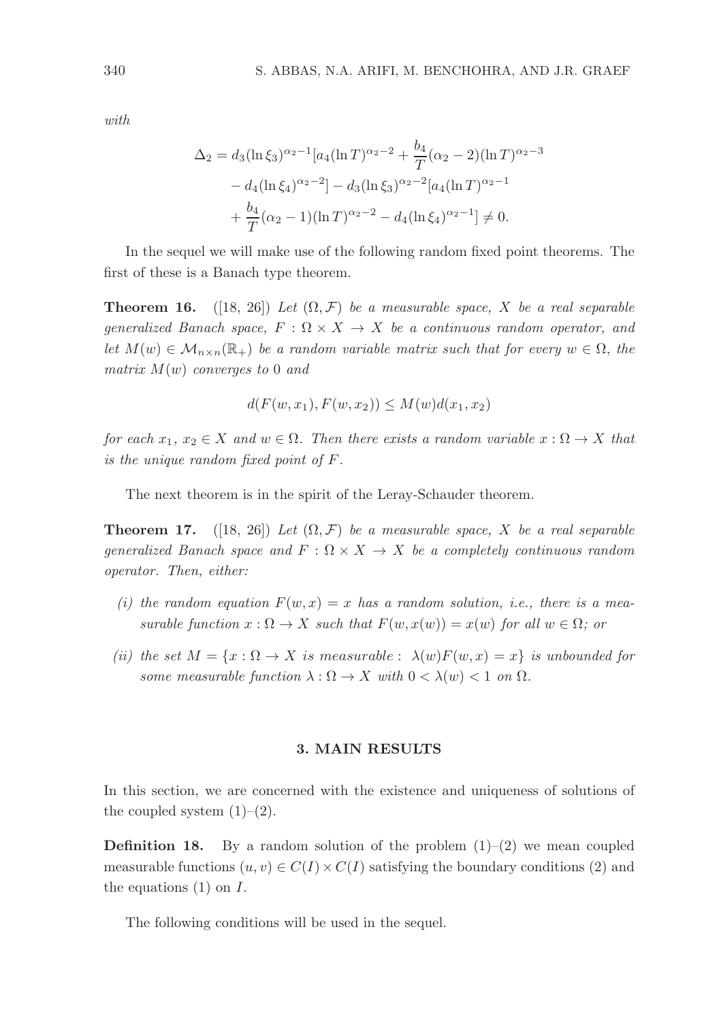with.

$$
\Delta_2 = d_3(\ln \xi_3)^{\alpha_2 - 1} [a_4(\ln T)^{\alpha_2 - 2} + \frac{b_4}{T} (\alpha_2 - 2)(\ln T)^{\alpha_2 - 3} \n- d_4(\ln \xi_4)^{\alpha_2 - 2}] - d_3(\ln \xi_3)^{\alpha_2 - 2} [a_4(\ln T)^{\alpha_2 - 1} \n+ \frac{b_4}{T} (\alpha_2 - 1)(\ln T)^{\alpha_2 - 2} - d_4(\ln \xi_4)^{\alpha_2 - 1}] \neq 0.
$$

In the sequel we will make use of the following random fixed point theorems. The first of these is a Banach type theorem.

**Theorem 16.** ([18, 26]) Let  $(\Omega, \mathcal{F})$  be a measurable space, X be a real separable generalized Banach space,  $F : \Omega \times X \to X$  be a continuous random operator, and let  $M(w) \in \mathcal{M}_{n \times n}(\mathbb{R}_+)$  be a random variable matrix such that for every  $w \in \Omega$ , the matrix  $M(w)$  converges to 0 and

$$
d(F(w, x_1), F(w, x_2)) \le M(w)d(x_1, x_2)
$$

for each  $x_1, x_2 \in X$  and  $w \in \Omega$ . Then there exists a random variable  $x : \Omega \to X$  that is the unique random fixed point of F.

The next theorem is in the spirit of the Leray-Schauder theorem.

**Theorem 17.** ([18, 26]) Let  $(\Omega, \mathcal{F})$  be a measurable space, X be a real separable generalized Banach space and  $F: \Omega \times X \to X$  be a completely continuous random operator. Then, either:

- (i) the random equation  $F(w, x) = x$  has a random solution, i.e., there is a measurable function  $x : \Omega \to X$  such that  $F(w, x(w)) = x(w)$  for all  $w \in \Omega$ ; or
- (ii) the set  $M = \{x : \Omega \to X \text{ is measurable} : \lambda(w)F(w,x) = x\}$  is unbounded for some measurable function  $\lambda : \Omega \to X$  with  $0 < \lambda(w) < 1$  on  $\Omega$ .

#### 3. MAIN RESULTS

In this section, we are concerned with the existence and uniqueness of solutions of the coupled system  $(1)-(2)$ .

**Definition 18.** By a random solution of the problem  $(1)-(2)$  we mean coupled measurable functions  $(u, v) \in C(I) \times C(I)$  satisfying the boundary conditions (2) and the equations  $(1)$  on  $I$ .

The following conditions will be used in the sequel.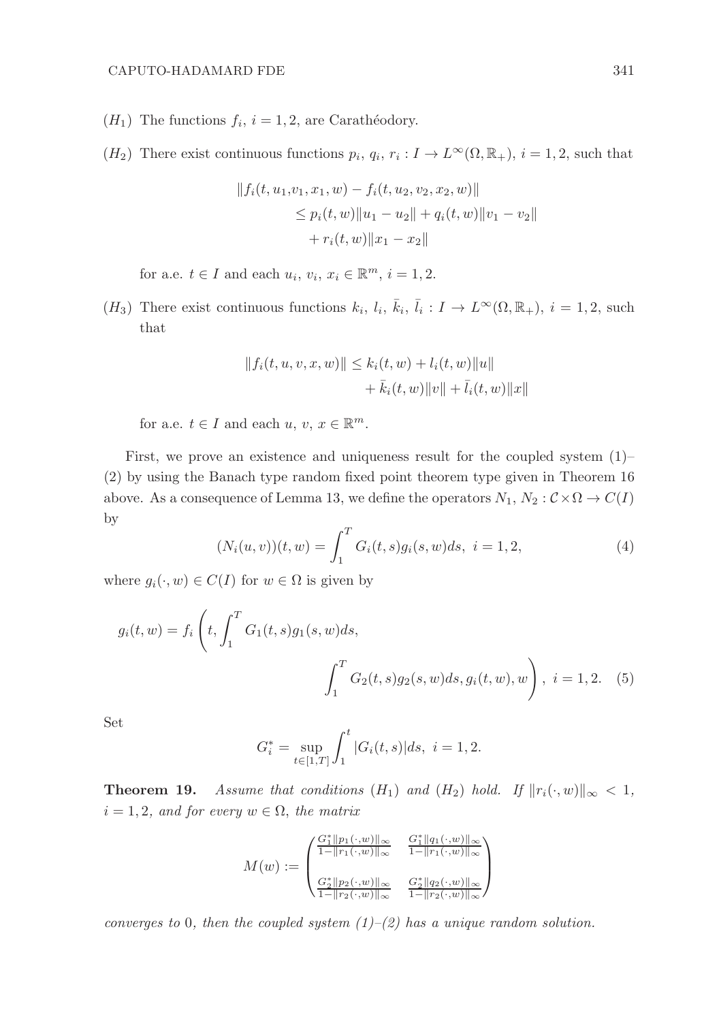- $(H_1)$  The functions  $f_i$ ,  $i = 1, 2$ , are Carathéodory.
- $(H_2)$  There exist continuous functions  $p_i, q_i, r_i : I \to L^{\infty}(\Omega, \mathbb{R}_+), i = 1, 2$ , such that

$$
||f_i(t, u_1, v_1, x_1, w) - f_i(t, u_2, v_2, x_2, w)||
$$
  
\n
$$
\leq p_i(t, w) ||u_1 - u_2|| + q_i(t, w) ||v_1 - v_2||
$$
  
\n
$$
+ r_i(t, w) ||x_1 - x_2||
$$

for a.e.  $t \in I$  and each  $u_i, v_i, x_i \in \mathbb{R}^m$ ,  $i = 1, 2$ .

 $(H_3)$  There exist continuous functions  $k_i$ ,  $l_i$ ,  $\bar{k}_i$ ,  $\bar{l}_i : I \to L^{\infty}(\Omega, \mathbb{R}_+)$ ,  $i = 1, 2$ , such that

$$
||f_i(t, u, v, x, w)|| \le k_i(t, w) + l_i(t, w)||u||
$$
  
+  $\bar{k}_i(t, w)||v|| + \bar{l}_i(t, w)||x||$ 

for a.e.  $t \in I$  and each  $u, v, x \in \mathbb{R}^m$ .

First, we prove an existence and uniqueness result for the coupled system (1)– (2) by using the Banach type random fixed point theorem type given in Theorem 16 above. As a consequence of Lemma 13, we define the operators  $N_1, N_2 : C \times \Omega \to C(I)$ by

$$
(N_i(u, v))(t, w) = \int_1^T G_i(t, s)g_i(s, w)ds, \ i = 1, 2,
$$
\n(4)

where  $g_i(\cdot, w) \in C(I)$  for  $w \in \Omega$  is given by

$$
g_i(t, w) = f_i\left(t, \int_1^T G_1(t, s)g_1(s, w)ds, \int_1^T G_2(t, s)g_2(s, w)ds, g_i(t, w), w\right), \ i = 1, 2. \quad (5)
$$

Set

$$
G_i^* = \sup_{t \in [1,T]} \int_1^t |G_i(t,s)| ds, \ i = 1,2.
$$

**Theorem 19.** Assume that conditions  $(H_1)$  and  $(H_2)$  hold. If  $||r_i(\cdot, w)||_{\infty} < 1$ ,  $i = 1, 2$ , and for every  $w \in \Omega$ , the matrix

$$
M(w) := \begin{pmatrix} \frac{G_1^* \|p_1(\cdot, w)\|_\infty}{1 - \|r_1(\cdot, w)\|_\infty} & \frac{G_1^* \|q_1(\cdot, w)\|_\infty}{1 - \|r_1(\cdot, w)\|_\infty} \\ \frac{G_2^* \|p_2(\cdot, w)\|_\infty}{1 - \|r_2(\cdot, w)\|_\infty} & \frac{G_2^* \|q_2(\cdot, w)\|_\infty}{1 - \|r_2(\cdot, w)\|_\infty} \end{pmatrix}
$$

converges to 0, then the coupled system  $(1)$ – $(2)$  has a unique random solution.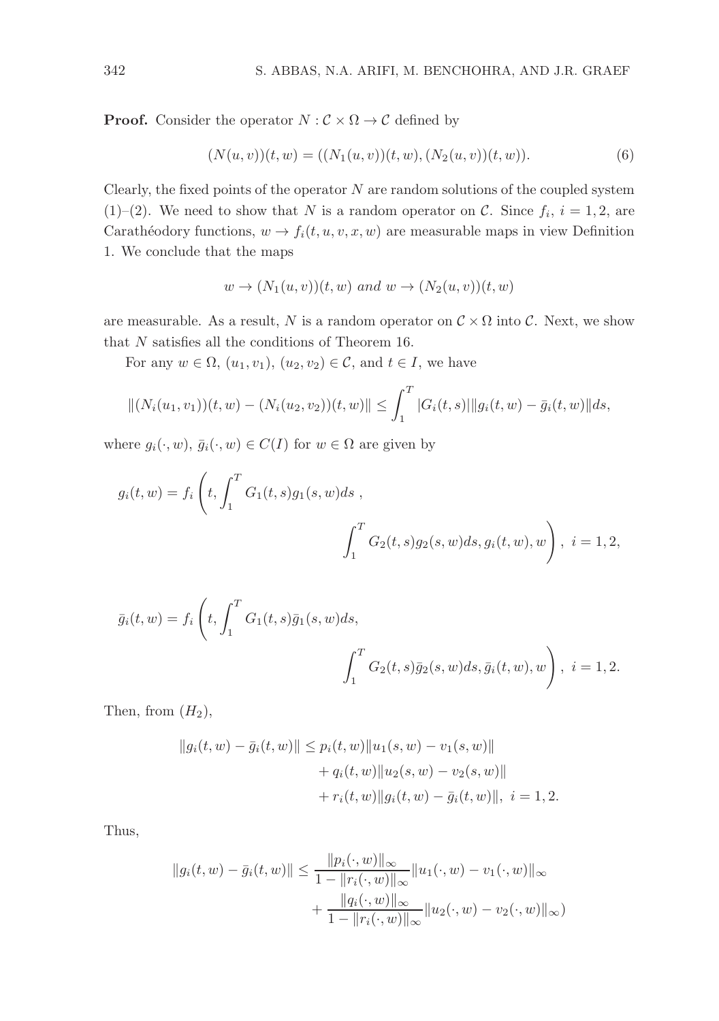**Proof.** Consider the operator  $N : \mathcal{C} \times \Omega \to \mathcal{C}$  defined by

$$
(N(u, v))(t, w) = ((N_1(u, v))(t, w), (N_2(u, v))(t, w)).
$$
\n(6)

Clearly, the fixed points of the operator  $N$  are random solutions of the coupled system  $(1)$ – $(2)$ . We need to show that N is a random operator on C. Since  $f_i$ ,  $i = 1, 2$ , are Carathéodory functions,  $w \to f_i(t, u, v, x, w)$  are measurable maps in view Definition 1. We conclude that the maps

$$
w \to (N_1(u, v))(t, w) \text{ and } w \to (N_2(u, v))(t, w)
$$

are measurable. As a result, N is a random operator on  $\mathcal{C} \times \Omega$  into C. Next, we show that  $N$  satisfies all the conditions of Theorem 16.

For any  $w \in \Omega$ ,  $(u_1, v_1)$ ,  $(u_2, v_2) \in \mathcal{C}$ , and  $t \in I$ , we have

$$
||(N_i(u_1, v_1))(t, w) - (N_i(u_2, v_2))(t, w)|| \leq \int_1^T |G_i(t, s)||g_i(t, w) - \bar{g}_i(t, w)||ds,
$$

where  $g_i(\cdot, w)$ ,  $\bar{g}_i(\cdot, w) \in C(I)$  for  $w \in \Omega$  are given by

$$
g_i(t, w) = f_i\left(t, \int_1^T G_1(t, s)g_1(s, w)ds, \int_1^T G_2(t, s)g_2(s, w)ds, g_i(t, w), w\right), \ i = 1, 2,
$$

$$
\bar{g}_i(t, w) = f_i \left( t, \int_1^T G_1(t, s) \bar{g}_1(s, w) ds, \int_1^T G_2(t, s) \bar{g}_2(s, w) ds, \bar{g}_i(t, w), w \right), \ i = 1, 2.
$$

Then, from  $(H_2)$ ,

$$
||g_i(t, w) - \bar{g}_i(t, w)|| \le p_i(t, w)||u_1(s, w) - v_1(s, w)||
$$
  
+  $q_i(t, w)||u_2(s, w) - v_2(s, w)||$   
+  $r_i(t, w)||g_i(t, w) - \bar{g}_i(t, w)||$ ,  $i = 1, 2$ .

Thus,

$$
||g_i(t, w) - \bar{g}_i(t, w)|| \le \frac{||p_i(\cdot, w)||_{\infty}}{1 - ||r_i(\cdot, w)||_{\infty}} ||u_1(\cdot, w) - v_1(\cdot, w)||_{\infty} + \frac{||q_i(\cdot, w)||_{\infty}}{1 - ||r_i(\cdot, w)||_{\infty}} ||u_2(\cdot, w) - v_2(\cdot, w)||_{\infty})
$$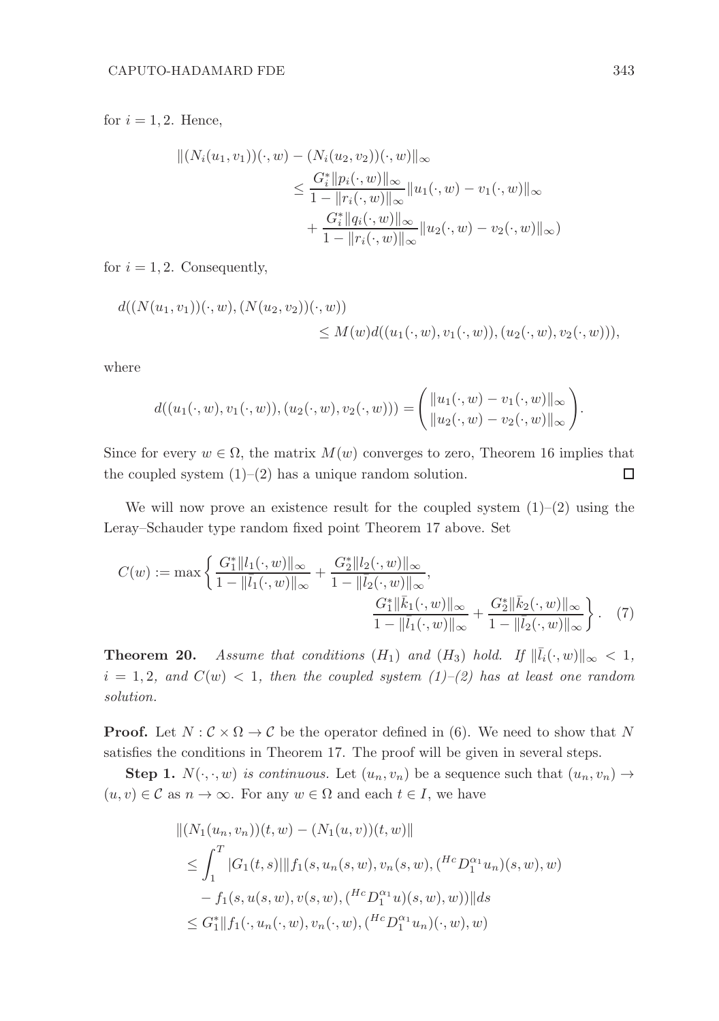for  $i = 1, 2$ . Hence,

$$
|| (N_i(u_1, v_1))(\cdot, w) - (N_i(u_2, v_2))(\cdot, w) ||_{\infty}
$$
  
\n
$$
\leq \frac{G_i^* ||p_i(\cdot, w)||_{\infty}}{1 - ||r_i(\cdot, w)||_{\infty}} ||u_1(\cdot, w) - v_1(\cdot, w)||_{\infty}
$$
  
\n
$$
+ \frac{G_i^* ||q_i(\cdot, w)||_{\infty}}{1 - ||r_i(\cdot, w)||_{\infty}} ||u_2(\cdot, w) - v_2(\cdot, w)||_{\infty})
$$

for  $i = 1, 2$ . Consequently,

$$
d((N(u_1, v_1))(\cdot, w), (N(u_2, v_2))(\cdot, w))
$$
  
\n
$$
\leq M(w)d((u_1(\cdot, w), v_1(\cdot, w)), (u_2(\cdot, w), v_2(\cdot, w))),
$$

where

$$
d((u_1(\cdot, w), v_1(\cdot, w)), (u_2(\cdot, w), v_2(\cdot, w))) = \begin{pmatrix} ||u_1(\cdot, w) - v_1(\cdot, w)||_{\infty} \\ ||u_2(\cdot, w) - v_2(\cdot, w)||_{\infty} \end{pmatrix}
$$

Since for every  $w \in \Omega$ , the matrix  $M(w)$  converges to zero, Theorem 16 implies that the coupled system  $(1)$ – $(2)$  has a unique random solution.  $\Box$ 

We will now prove an existence result for the coupled system  $(1)-(2)$  using the Leray–Schauder type random fixed point Theorem 17 above. Set

$$
C(w) := \max \left\{ \frac{G_1^* \|l_1(\cdot, w)\|_{\infty}}{1 - \|\bar{l}_1(\cdot, w)\|_{\infty}} + \frac{G_2^* \|l_2(\cdot, w)\|_{\infty}}{1 - \|\bar{l}_2(\cdot, w)\|_{\infty}}, \frac{G_1^* \|\bar{k}_1(\cdot, w)\|_{\infty}}{1 - \|\bar{l}_1(\cdot, w)\|_{\infty}} + \frac{G_2^* \|\bar{k}_2(\cdot, w)\|_{\infty}}{1 - \|\bar{l}_2(\cdot, w)\|_{\infty}} \right\}. \tag{7}
$$

**Theorem 20.** Assume that conditions  $(H_1)$  and  $(H_3)$  hold. If  $\|\bar{l}_i(\cdot,w)\|_{\infty} < 1$ ,  $i = 1, 2, and C(w) < 1, then the coupled system (1)–(2) has at least one random$ solution.

**Proof.** Let  $N : \mathcal{C} \times \Omega \to \mathcal{C}$  be the operator defined in (6). We need to show that N satisfies the conditions in Theorem 17. The proof will be given in several steps.

**Step 1.**  $N(\cdot, \cdot, w)$  is continuous. Let  $(u_n, v_n)$  be a sequence such that  $(u_n, v_n) \rightarrow$  $(u, v) \in \mathcal{C}$  as  $n \to \infty$ . For any  $w \in \Omega$  and each  $t \in I$ , we have

$$
||(N_1(u_n, v_n))(t, w) - (N_1(u, v))(t, w)||
$$
  
\n
$$
\leq \int_1^T |G_1(t, s)| ||f_1(s, u_n(s, w), v_n(s, w), ({}^{Hc}D_1^{\alpha_1}u_n)(s, w), w)
$$
  
\n
$$
- f_1(s, u(s, w), v(s, w), ({}^{Hc}D_1^{\alpha_1}u)(s, w), w))||ds
$$
  
\n
$$
\leq G_1^* ||f_1(\cdot, u_n(\cdot, w), v_n(\cdot, w), ({}^{Hc}D_1^{\alpha_1}u_n)(\cdot, w), w)
$$

.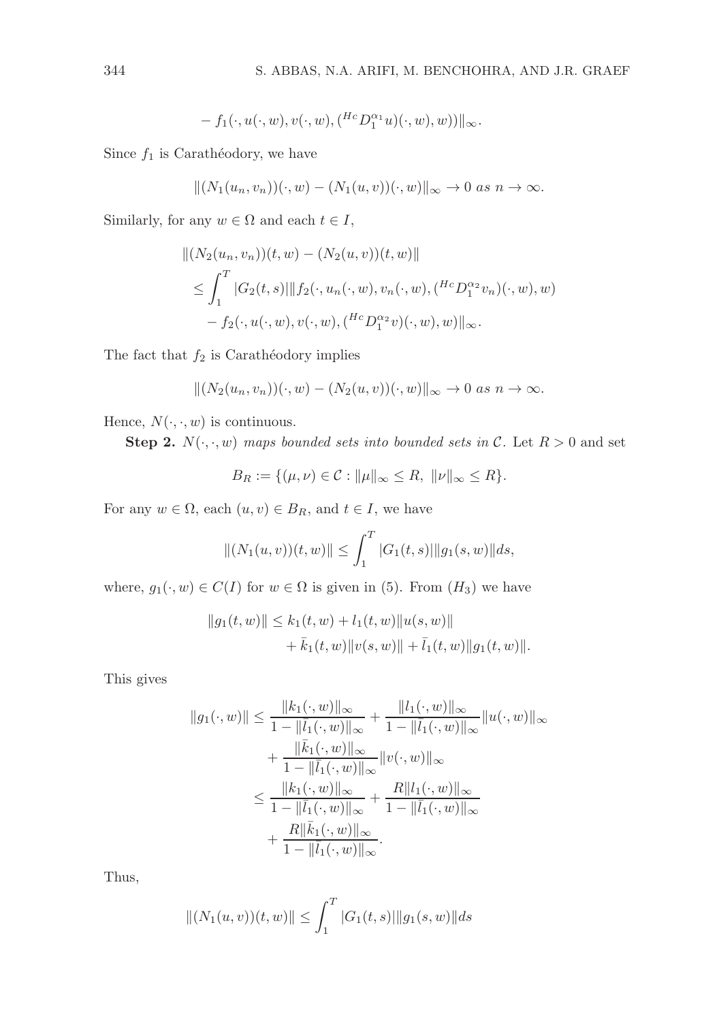$$
- f_1(\cdot, u(\cdot, w), v(\cdot, w), ({}^{He}D_1^{\alpha_1}u)(\cdot, w), w))\|_{\infty}.
$$

Since  $f_1$  is Carathéodory, we have

$$
||(N_1(u_n,v_n))(\cdot,w)-(N_1(u,v))(\cdot,w)||_{\infty}\to 0 \text{ as } n\to\infty.
$$

Similarly, for any  $w \in \Omega$  and each  $t \in I$ ,

$$
||(N_2(u_n, v_n))(t, w) - (N_2(u, v))(t, w)||
$$
  
\n
$$
\leq \int_1^T |G_2(t, s)| ||f_2(\cdot, u_n(\cdot, w), v_n(\cdot, w), ({}^{Hc}D_1^{\alpha_2}v_n)(\cdot, w), w)
$$
  
\n
$$
- f_2(\cdot, u(\cdot, w), v(\cdot, w), ({}^{Hc}D_1^{\alpha_2}v)(\cdot, w), w)||_{\infty}.
$$

The fact that  $f_2$  is Carathéodory implies

$$
|| (N_2(u_n, v_n))(\cdot, w) - (N_2(u, v))(\cdot, w)||_{\infty} \to 0 \text{ as } n \to \infty.
$$

Hence,  $N(\cdot, \cdot, w)$  is continuous.

**Step 2.**  $N(\cdot, \cdot, w)$  maps bounded sets into bounded sets in C. Let  $R > 0$  and set

$$
B_R := \{ (\mu, \nu) \in \mathcal{C} : ||\mu||_{\infty} \le R, ||\nu||_{\infty} \le R \}.
$$

For any  $w \in \Omega$ , each  $(u, v) \in B_R$ , and  $t \in I$ , we have

$$
||(N_1(u,v))(t,w)|| \leq \int_1^T |G_1(t,s)||g_1(s,w)||ds,
$$

where,  $g_1(\cdot, w) \in C(I)$  for  $w \in \Omega$  is given in (5). From  $(H_3)$  we have

$$
||g_1(t, w)|| \le k_1(t, w) + l_1(t, w)||u(s, w)||
$$
  
+  $\bar{k}_1(t, w)||v(s, w)|| + \bar{l}_1(t, w)||g_1(t, w)||$ .

This gives

$$
||g_1(\cdot, w)|| \le \frac{||k_1(\cdot, w)||_{\infty}}{1 - ||\overline{l}_1(\cdot, w)||_{\infty}} + \frac{||l_1(\cdot, w)||_{\infty}}{1 - ||\overline{l}_1(\cdot, w)||_{\infty}} ||u(\cdot, w)||_{\infty} + \frac{||\overline{k}_1(\cdot, w)||_{\infty}}{1 - ||\overline{l}_1(\cdot, w)||_{\infty}} ||v(\cdot, w)||_{\infty} \le \frac{||k_1(\cdot, w)||_{\infty}}{1 - ||\overline{l}_1(\cdot, w)||_{\infty}} + \frac{R||l_1(\cdot, w)||_{\infty}}{1 - ||\overline{l}_1(\cdot, w)||_{\infty}} + \frac{R||\overline{k}_1(\cdot, w)||_{\infty}}{1 - ||\overline{l}_1(\cdot, w)||_{\infty}}.
$$

Thus,

$$
||(N_1(u,v))(t,w)|| \leq \int_1^T |G_1(t,s)||g_1(s,w)||ds
$$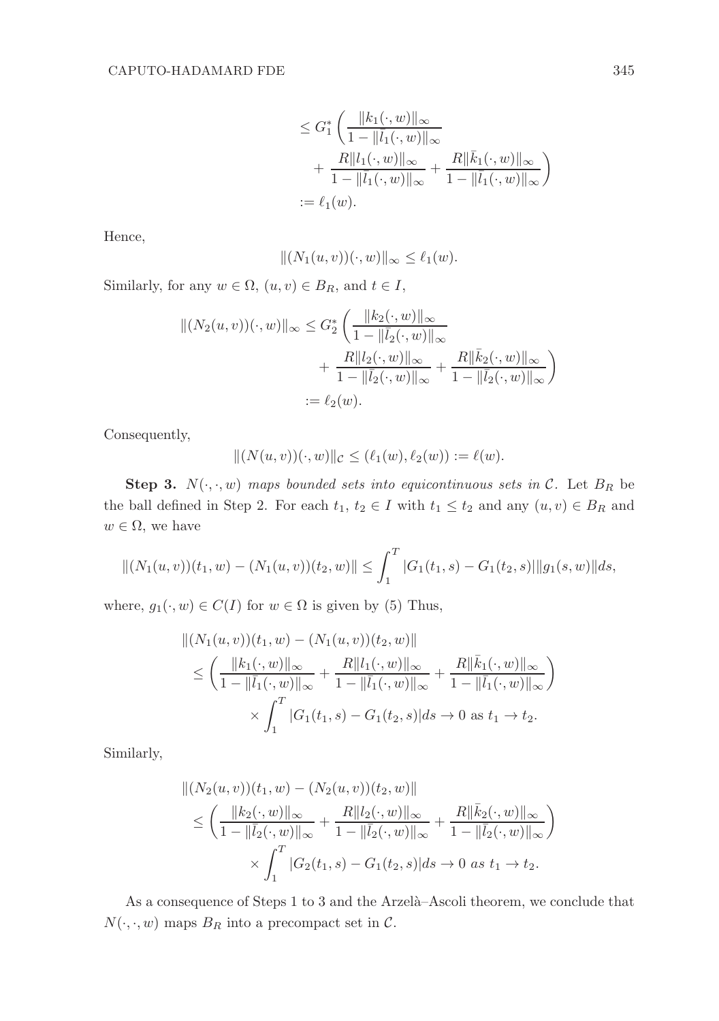$$
\leq G_1^* \left( \frac{\|k_1(\cdot, w)\|_{\infty}}{1 - \|\bar{l}_1(\cdot, w)\|_{\infty}} + \frac{R\|l_1(\cdot, w)\|_{\infty}}{1 - \|\bar{l}_1(\cdot, w)\|_{\infty}} + \frac{R\|\bar{k}_1(\cdot, w)\|_{\infty}}{1 - \|\bar{l}_1(\cdot, w)\|_{\infty}} \right)
$$
  
:=  $\ell_1(w)$ .

Hence,

$$
|| (N_1(u,v))(\cdot, w) ||_{\infty} \leq \ell_1(w).
$$

Similarly, for any  $w \in \Omega$ ,  $(u, v) \in B_R$ , and  $t \in I$ ,

$$
|| (N_2(u, v))(\cdot, w) ||_{\infty} \leq G_2^* \left( \frac{||k_2(\cdot, w)||_{\infty}}{1 - ||\overline{l}_2(\cdot, w)||_{\infty}} + \frac{R||l_2(\cdot, w)||_{\infty}}{1 - ||\overline{l}_2(\cdot, w)||_{\infty}} + \frac{R||\overline{k}_2(\cdot, w)||_{\infty}}{1 - ||\overline{l}_2(\cdot, w)||_{\infty}} \right)
$$
  
:=  $\ell_2(w)$ .

Consequently,

$$
|| (N(u, v))(\cdot, w)||_{\mathcal{C}} \leq (\ell_1(w), \ell_2(w)) := \ell(w).
$$

**Step 3.**  $N(\cdot, \cdot, w)$  maps bounded sets into equicontinuous sets in C. Let  $B_R$  be the ball defined in Step 2. For each  $t_1, t_2 \in I$  with  $t_1 \leq t_2$  and any  $(u, v) \in B_R$  and  $w \in \Omega$ , we have

$$
||(N_1(u,v))(t_1,w)-(N_1(u,v))(t_2,w)|| \leq \int_1^T |G_1(t_1,s)-G_1(t_2,s)||g_1(s,w)||ds,
$$

where,  $g_1(\cdot, w) \in C(I)$  for  $w \in \Omega$  is given by (5) Thus,

$$
||(N_1(u, v))(t_1, w) - (N_1(u, v))(t_2, w)||\n\leq \left(\frac{||k_1(\cdot, w)||_{\infty}}{1 - ||\bar{l}_1(\cdot, w)||_{\infty}} + \frac{R||l_1(\cdot, w)||_{\infty}}{1 - ||\bar{l}_1(\cdot, w)||_{\infty}} + \frac{R||\bar{k}_1(\cdot, w)||_{\infty}}{1 - ||\bar{l}_1(\cdot, w)||_{\infty}}\right)\n\times \int_1^T |G_1(t_1, s) - G_1(t_2, s)| ds \to 0 \text{ as } t_1 \to t_2.
$$

Similarly,

$$
||(N_2(u, v))(t_1, w) - (N_2(u, v))(t_2, w)||\n
$$
\leq \left(\frac{||k_2(\cdot, w)||_{\infty}}{1 - ||\bar{l}_2(\cdot, w)||_{\infty}} + \frac{R||l_2(\cdot, w)||_{\infty}}{1 - ||\bar{l}_2(\cdot, w)||_{\infty}} + \frac{R||\bar{k}_2(\cdot, w)||_{\infty}}{1 - ||\bar{l}_2(\cdot, w)||_{\infty}}\right) \times \int_1^T |G_2(t_1, s) - G_1(t_2, s)| ds \to 0 \text{ as } t_1 \to t_2.
$$
$$

As a consequence of Steps 1 to 3 and the Arzelà–Ascoli theorem, we conclude that  $N(\cdot, \cdot, w)$  maps  $B_R$  into a precompact set in  $\mathcal{C}$ .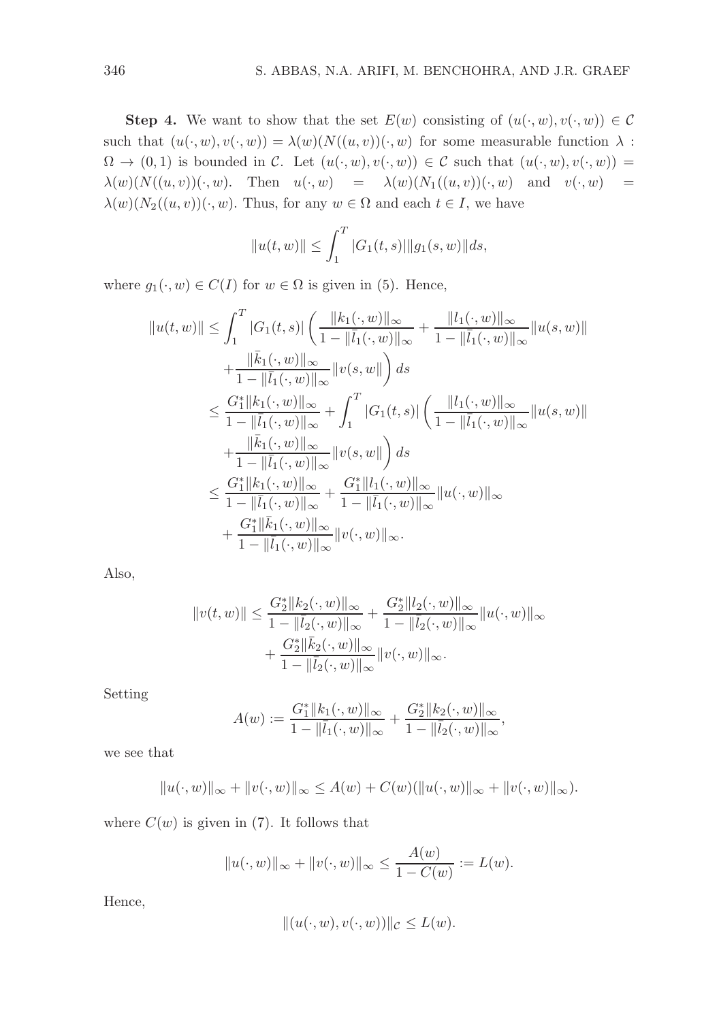**Step 4.** We want to show that the set  $E(w)$  consisting of  $(u(\cdot, w), v(\cdot, w)) \in \mathcal{C}$ such that  $(u(\cdot, w), v(\cdot, w)) = \lambda(w) (N((u, v))(\cdot, w)$  for some measurable function  $\lambda$ :  $\Omega \to (0, 1)$  is bounded in C. Let  $(u(\cdot, w), v(\cdot, w)) \in C$  such that  $(u(\cdot, w), v(\cdot, w)) =$  $\lambda(w)(N((u, v))(\cdot, w)$ . Then  $u(\cdot, w) = \lambda(w)(N_1((u, v))(\cdot, w)$  and  $v(\cdot, w) =$  $\lambda(w)(N_2((u, v))(\cdot, w)$ . Thus, for any  $w \in \Omega$  and each  $t \in I$ , we have

$$
||u(t, w)|| \le \int_1^T |G_1(t, s)| ||g_1(s, w)|| ds,
$$

where  $g_1(\cdot, w) \in C(I)$  for  $w \in \Omega$  is given in (5). Hence,

$$
||u(t,w)|| \leq \int_{1}^{T} |G_{1}(t,s)| \left(\frac{||k_{1}(\cdot,w)||_{\infty}}{1-||\bar{l}_{1}(\cdot,w)||_{\infty}} + \frac{||l_{1}(\cdot,w)||_{\infty}}{1-||\bar{l}_{1}(\cdot,w)||_{\infty}}||u(s,w)|| + \frac{||\bar{k}_{1}(\cdot,w)||_{\infty}}{1-||\bar{l}_{1}(\cdot,w)||_{\infty}}||v(s,w||) ds
$$
  

$$
\leq \frac{G_{1}^{*}||k_{1}(\cdot,w)||_{\infty}}{1-||\bar{l}_{1}(\cdot,w)||_{\infty}} + \int_{1}^{T} |G_{1}(t,s)| \left(\frac{||l_{1}(\cdot,w)||_{\infty}}{1-||\bar{l}_{1}(\cdot,w)||_{\infty}}||u(s,w)|| + \frac{||\bar{k}_{1}(\cdot,w)||_{\infty}}{1-||\bar{l}_{1}(\cdot,w)||_{\infty}}||v(s,w||) ds
$$
  

$$
\leq \frac{G_{1}^{*}||k_{1}(\cdot,w)||_{\infty}}{1-||\bar{l}_{1}(\cdot,w)||_{\infty}} + \frac{G_{1}^{*}||l_{1}(\cdot,w)||_{\infty}}{1-||\bar{l}_{1}(\cdot,w)||_{\infty}}||u(\cdot,w)||_{\infty}
$$
  

$$
+ \frac{G_{1}^{*}||\bar{k}_{1}(\cdot,w)||_{\infty}}{1-||\bar{l}_{1}(\cdot,w)||_{\infty}}||v(\cdot,w)||_{\infty}.
$$

Also,

$$
||v(t,w)|| \leq \frac{G_2^*||k_2(\cdot, w)||_{\infty}}{1 - ||\overline{l}_2(\cdot, w)||_{\infty}} + \frac{G_2^*||l_2(\cdot, w)||_{\infty}}{1 - ||\overline{l}_2(\cdot, w)||_{\infty}} ||u(\cdot, w)||_{\infty} + \frac{G_2^*||\overline{k}_2(\cdot, w)||_{\infty}}{1 - ||\overline{l}_2(\cdot, w)||_{\infty}} ||v(\cdot, w)||_{\infty}.
$$

Setting

$$
A(w) := \frac{G_1^* ||k_1(\cdot, w)||_{\infty}}{1 - ||\overline{l}_1(\cdot, w)||_{\infty}} + \frac{G_2^* ||k_2(\cdot, w)||_{\infty}}{1 - ||\overline{l}_2(\cdot, w)||_{\infty}},
$$

we see that

$$
||u(\cdot, w)||_{\infty} + ||v(\cdot, w)||_{\infty} \le A(w) + C(w)(||u(\cdot, w)||_{\infty} + ||v(\cdot, w)||_{\infty}).
$$

where  $C(w)$  is given in (7). It follows that

$$
||u(\cdot, w)||_{\infty} + ||v(\cdot, w)||_{\infty} \le \frac{A(w)}{1 - C(w)} := L(w).
$$

Hence,

$$
||(u(\cdot,w),v(\cdot,w))||_{\mathcal{C}} \leq L(w).
$$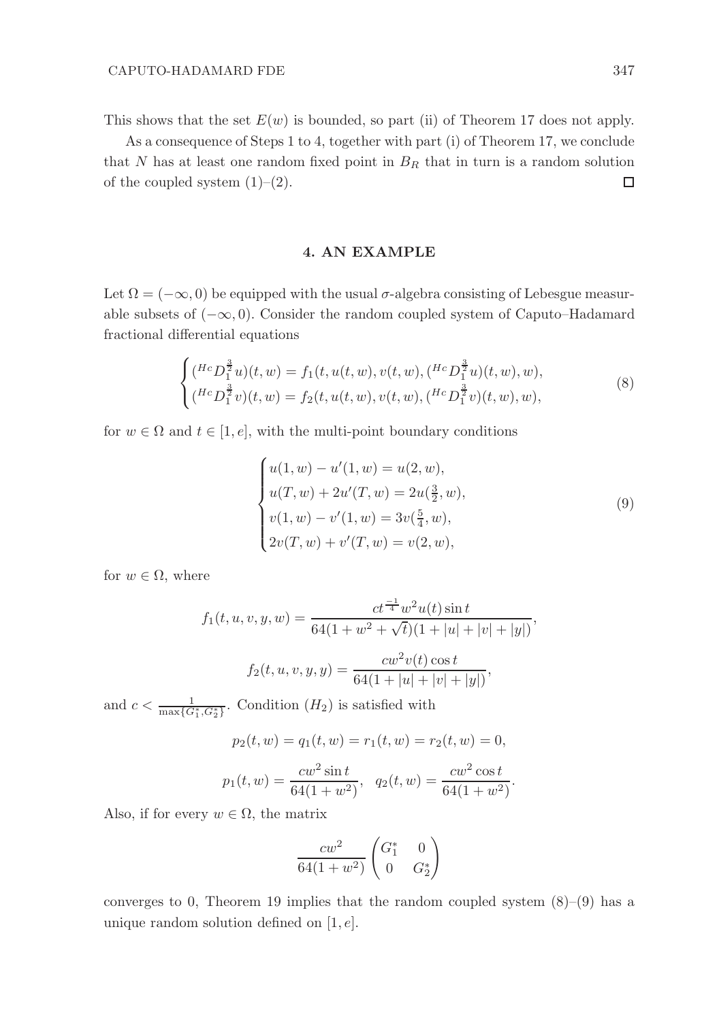This shows that the set  $E(w)$  is bounded, so part (ii) of Theorem 17 does not apply.

As a consequence of Steps 1 to 4, together with part (i) of Theorem 17, we conclude that N has at least one random fixed point in  $B_R$  that in turn is a random solution of the coupled system  $(1)-(2)$ .  $\Box$ 

# 4. AN EXAMPLE

Let  $\Omega = (-\infty, 0)$  be equipped with the usual  $\sigma$ -algebra consisting of Lebesgue measurable subsets of  $(-\infty, 0)$ . Consider the random coupled system of Caputo–Hadamard fractional differential equations

$$
\begin{cases}\n(^{Hc}D_1^{\frac{3}{2}}u)(t,w) = f_1(t, u(t,w), v(t,w), (^{Hc}D_1^{\frac{3}{2}}u)(t,w), w), \\
(^{Hc}D_1^{\frac{3}{2}}v)(t,w) = f_2(t, u(t,w), v(t,w), (^{Hc}D_1^{\frac{3}{2}}v)(t,w), w),\n\end{cases} \tag{8}
$$

for  $w \in \Omega$  and  $t \in [1, e]$ , with the multi-point boundary conditions

$$
\begin{cases}\nu(1, w) - u'(1, w) = u(2, w), \\
u(T, w) + 2u'(T, w) = 2u(\frac{3}{2}, w), \\
v(1, w) - v'(1, w) = 3v(\frac{5}{4}, w), \\
2v(T, w) + v'(T, w) = v(2, w),\n\end{cases}
$$
\n(9)

for  $w \in \Omega$ , where

$$
f_1(t, u, v, y, w) = \frac{ct^{\frac{-1}{4}}w^2u(t)\sin t}{64(1+w^2+\sqrt{t})(1+|u|+|v|+|y|)},
$$

$$
f_2(t, u, v, y, y) = \frac{cw^2v(t)\cos t}{64(1+|u|+|v|+|y|)},
$$

and  $c < \frac{1}{\max\{G_1^*, G_2^*\}}$ . Condition  $(H_2)$  is satisfied with

$$
p_2(t, w) = q_1(t, w) = r_1(t, w) = r_2(t, w) = 0,
$$
  

$$
p_1(t, w) = \frac{cw^2 \sin t}{64(1 + w^2)}, \quad q_2(t, w) = \frac{cw^2 \cos t}{64(1 + w^2)}.
$$

Also, if for every  $w \in \Omega$ , the matrix

$$
\frac{cw^2}{64(1+w^2)} \begin{pmatrix} G_1^* & 0\\ 0 & G_2^* \end{pmatrix}
$$

converges to 0, Theorem 19 implies that the random coupled system  $(8)$ – $(9)$  has a unique random solution defined on  $[1, e]$ .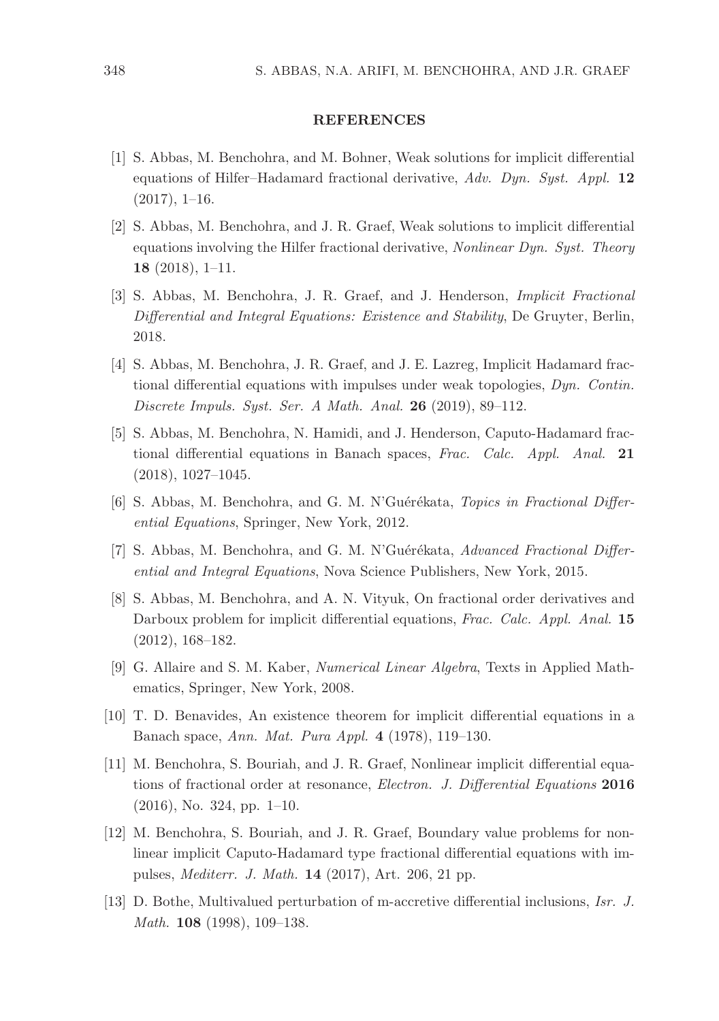### **REFERENCES**

- [1] S. Abbas, M. Benchohra, and M. Bohner, Weak solutions for implicit differential equations of Hilfer–Hadamard fractional derivative,  $Adv.$  Dyn. Syst. Appl. 12  $(2017), 1-16.$
- [2] S. Abbas, M. Benchohra, and J. R. Graef, Weak solutions to implicit differential equations involving the Hilfer fractional derivative, Nonlinear Dyn. Syst. Theory 18 (2018), 1–11.
- [3] S. Abbas, M. Benchohra, J. R. Graef, and J. Henderson, Implicit Fractional Differential and Integral Equations: Existence and Stability, De Gruyter, Berlin, 2018.
- [4] S. Abbas, M. Benchohra, J. R. Graef, and J. E. Lazreg, Implicit Hadamard fractional differential equations with impulses under weak topologies, Dyn. Contin. Discrete Impuls. Syst. Ser. A Math. Anal. 26 (2019), 89–112.
- [5] S. Abbas, M. Benchohra, N. Hamidi, and J. Henderson, Caputo-Hadamard fractional differential equations in Banach spaces, Frac. Calc. Appl. Anal. 21 (2018), 1027–1045.
- [6] S. Abbas, M. Benchohra, and G. M. N'Guérékata, Topics in Fractional Differential Equations, Springer, New York, 2012.
- [7] S. Abbas, M. Benchohra, and G. M. N'Guérékata, Advanced Fractional Differential and Integral Equations, Nova Science Publishers, New York, 2015.
- [8] S. Abbas, M. Benchohra, and A. N. Vityuk, On fractional order derivatives and Darboux problem for implicit differential equations, Frac. Calc. Appl. Anal. 15 (2012), 168–182.
- [9] G. Allaire and S. M. Kaber, Numerical Linear Algebra, Texts in Applied Mathematics, Springer, New York, 2008.
- [10] T. D. Benavides, An existence theorem for implicit differential equations in a Banach space, Ann. Mat. Pura Appl. 4 (1978), 119–130.
- [11] M. Benchohra, S. Bouriah, and J. R. Graef, Nonlinear implicit differential equations of fractional order at resonance, Electron. J. Differential Equations 2016  $(2016)$ , No. 324, pp. 1–10.
- [12] M. Benchohra, S. Bouriah, and J. R. Graef, Boundary value problems for nonlinear implicit Caputo-Hadamard type fractional differential equations with impulses, Mediterr. J. Math. 14 (2017), Art. 206, 21 pp.
- [13] D. Bothe, Multivalued perturbation of m-accretive differential inclusions, Isr. J. Math. 108 (1998), 109–138.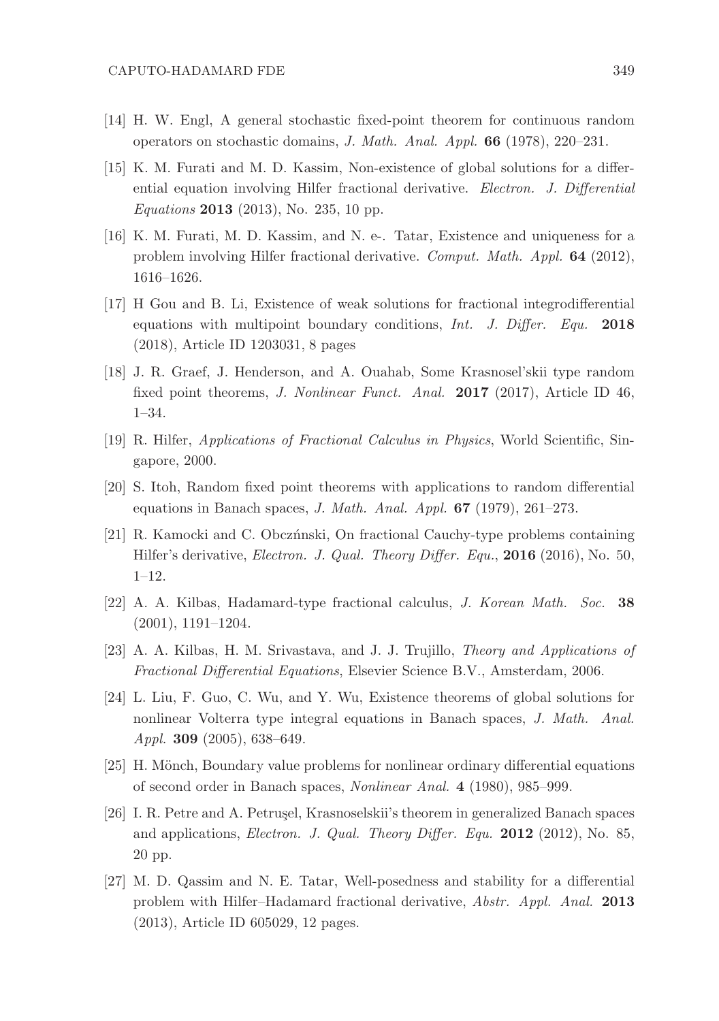- [14] H. W. Engl, A general stochastic fixed-point theorem for continuous random operators on stochastic domains, J. Math. Anal. Appl. 66 (1978), 220–231.
- [15] K. M. Furati and M. D. Kassim, Non-existence of global solutions for a differential equation involving Hilfer fractional derivative. Electron. J. Differential Equations 2013 (2013), No. 235, 10 pp.
- [16] K. M. Furati, M. D. Kassim, and N. e-. Tatar, Existence and uniqueness for a problem involving Hilfer fractional derivative. Comput. Math. Appl. 64 (2012), 1616–1626.
- [17] H Gou and B. Li, Existence of weak solutions for fractional integrodifferential equations with multipoint boundary conditions, Int. J. Differ. Equ. 2018 (2018), Article ID 1203031, 8 pages
- [18] J. R. Graef, J. Henderson, and A. Ouahab, Some Krasnosel'skii type random fixed point theorems, J. Nonlinear Funct. Anal. 2017 (2017), Article ID 46, 1–34.
- [19] R. Hilfer, Applications of Fractional Calculus in Physics, World Scientific, Singapore, 2000.
- [20] S. Itoh, Random fixed point theorems with applications to random differential equations in Banach spaces, *J. Math. Anal. Appl.*  $67$  (1979), 261–273.
- [21] R. Kamocki and C. Obcz´nnski, On fractional Cauchy-type problems containing Hilfer's derivative, Electron. J. Qual. Theory Differ. Equ., 2016 (2016), No. 50, 1–12.
- [22] A. A. Kilbas, Hadamard-type fractional calculus, J. Korean Math. Soc. 38 (2001), 1191–1204.
- [23] A. A. Kilbas, H. M. Srivastava, and J. J. Trujillo, Theory and Applications of Fractional Differential Equations, Elsevier Science B.V., Amsterdam, 2006.
- [24] L. Liu, F. Guo, C. Wu, and Y. Wu, Existence theorems of global solutions for nonlinear Volterra type integral equations in Banach spaces, J. Math. Anal. Appl. 309 (2005), 638–649.
- [25] H. Mönch, Boundary value problems for nonlinear ordinary differential equations of second order in Banach spaces, Nonlinear Anal. 4 (1980), 985–999.
- [26] I. R. Petre and A. Petrusel, Krasnoselskii's theorem in generalized Banach spaces and applications, Electron. J. Qual. Theory Differ. Equ. 2012 (2012), No. 85, 20 pp.
- [27] M. D. Qassim and N. E. Tatar, Well-posedness and stability for a differential problem with Hilfer–Hadamard fractional derivative, Abstr. Appl. Anal. 2013 (2013), Article ID 605029, 12 pages.